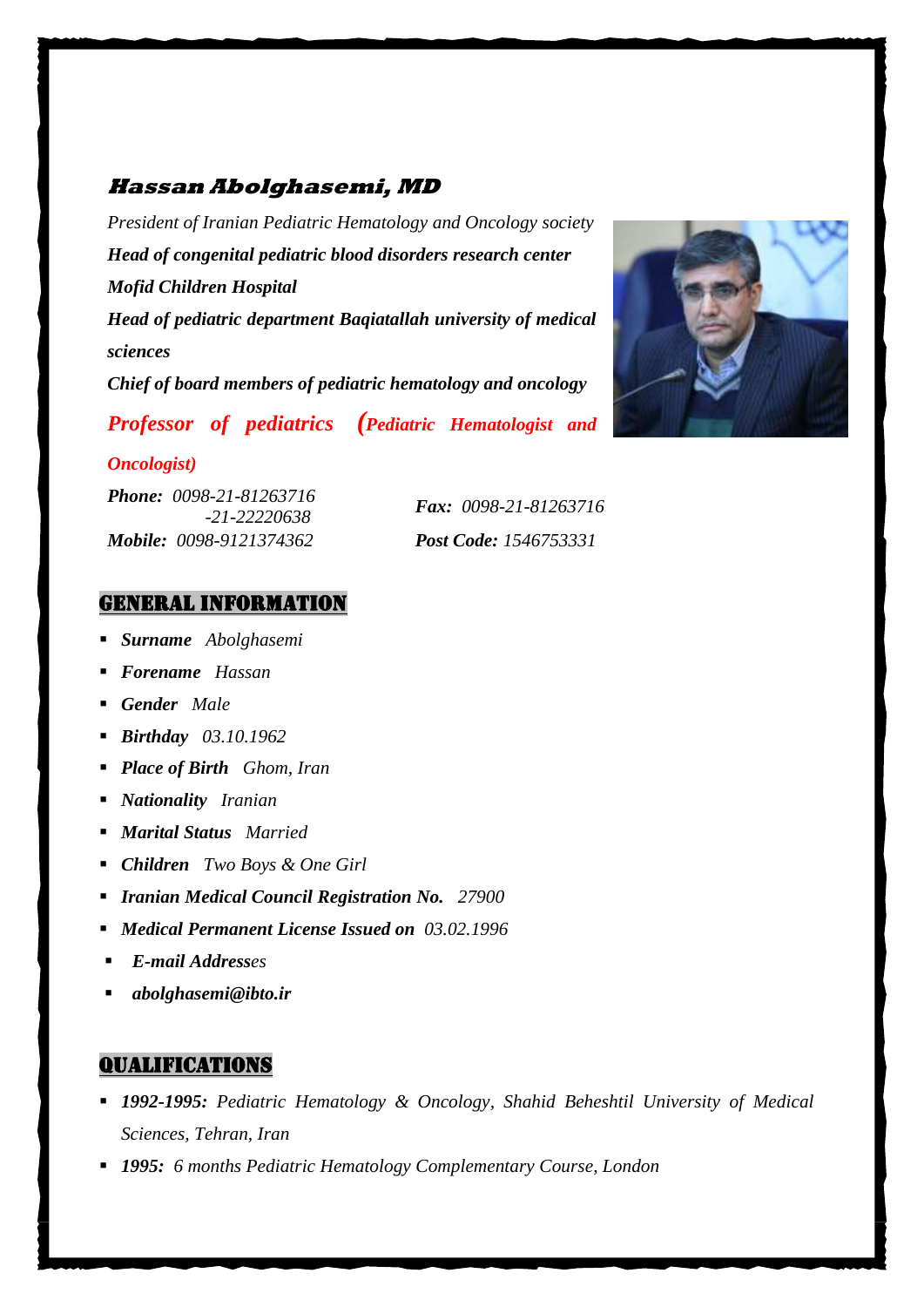## **Hassan Abolghasemi, MD**

*President of Iranian Pediatric Hematology and Oncology society Head of congenital pediatric blood disorders research center Mofid Children Hospital Head of pediatric department Baqiatallah university of medical sciences Chief of board members of pediatric hematology and oncology*





#### *Oncologist)*

*Phone: 0098-21-81263716 Mobile: 0098-9121374362 Post Code: 1546753331*

 *-21-22220638 Fax: 0098-21-81263716*

### General Information

- *Surname Abolghasemi*
- *Forename Hassan*
- *Gender Male*
- *Birthday 03.10.1962*
- *Place of Birth Ghom, Iran*
- *Nationality Iranian*
- *Marital Status Married*
- *Children Two Boys & One Girl*
- *Iranian Medical Council Registration No. 27900*
- *Medical Permanent License Issued on 03.02.1996*
- *E-mail Addresses*
- *abolghasemi@ibto.ir*

#### Qualifications

- *1992-1995: Pediatric Hematology & Oncology, Shahid Beheshtil University of Medical Sciences, Tehran, Iran*
- *1995: 6 months Pediatric Hematology Complementary Course, London*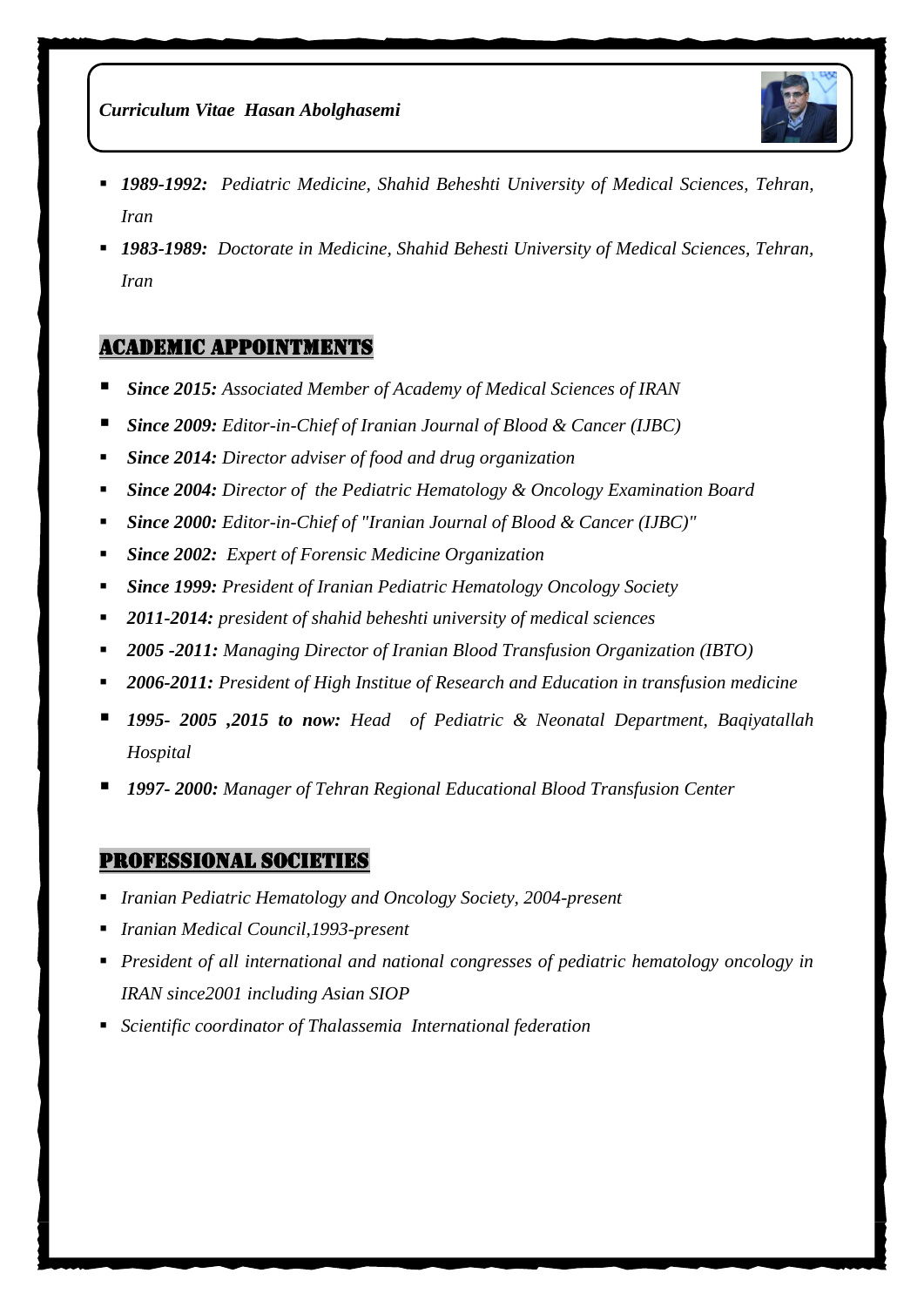

- *1989-1992: Pediatric Medicine, Shahid Beheshti University of Medical Sciences, Tehran, Iran*
- *1983-1989: Doctorate in Medicine, Shahid Behesti University of Medical Sciences, Tehran, Iran*

### Academic Appointments

- *Since 2015: Associated Member of Academy of Medical Sciences of IRAN*
- *Since 2009: Editor-in-Chief of Iranian Journal of Blood & Cancer (IJBC)*
- *Since 2014: Director adviser of food and drug organization*
- *Since 2004: Director of the Pediatric Hematology & Oncology Examination Board*
- *Since 2000: Editor-in-Chief of "Iranian Journal of Blood & Cancer (IJBC)"*
- *Since 2002: Expert of Forensic Medicine Organization*
- *Since 1999: President of Iranian Pediatric Hematology Oncology Society*
- *2011-2014: president of shahid beheshti university of medical sciences*
- *2005 -2011: Managing Director of Iranian Blood Transfusion Organization (IBTO)*
- *2006-2011: President of High Institue of Research and Education in transfusion medicine*
- *1995- 2005 ,2015 to now: Head of Pediatric & Neonatal Department, Baqiyatallah Hospital*
- *1997- 2000: Manager of Tehran Regional Educational Blood Transfusion Center*

### Professional Societies

- *Iranian Pediatric Hematology and Oncology Society, 2004-present*
- *Iranian Medical Council,1993-present*
- *President of all international and national congresses of pediatric hematology oncology in IRAN since2001 including Asian SIOP*
- *Scientific coordinator of Thalassemia International federation*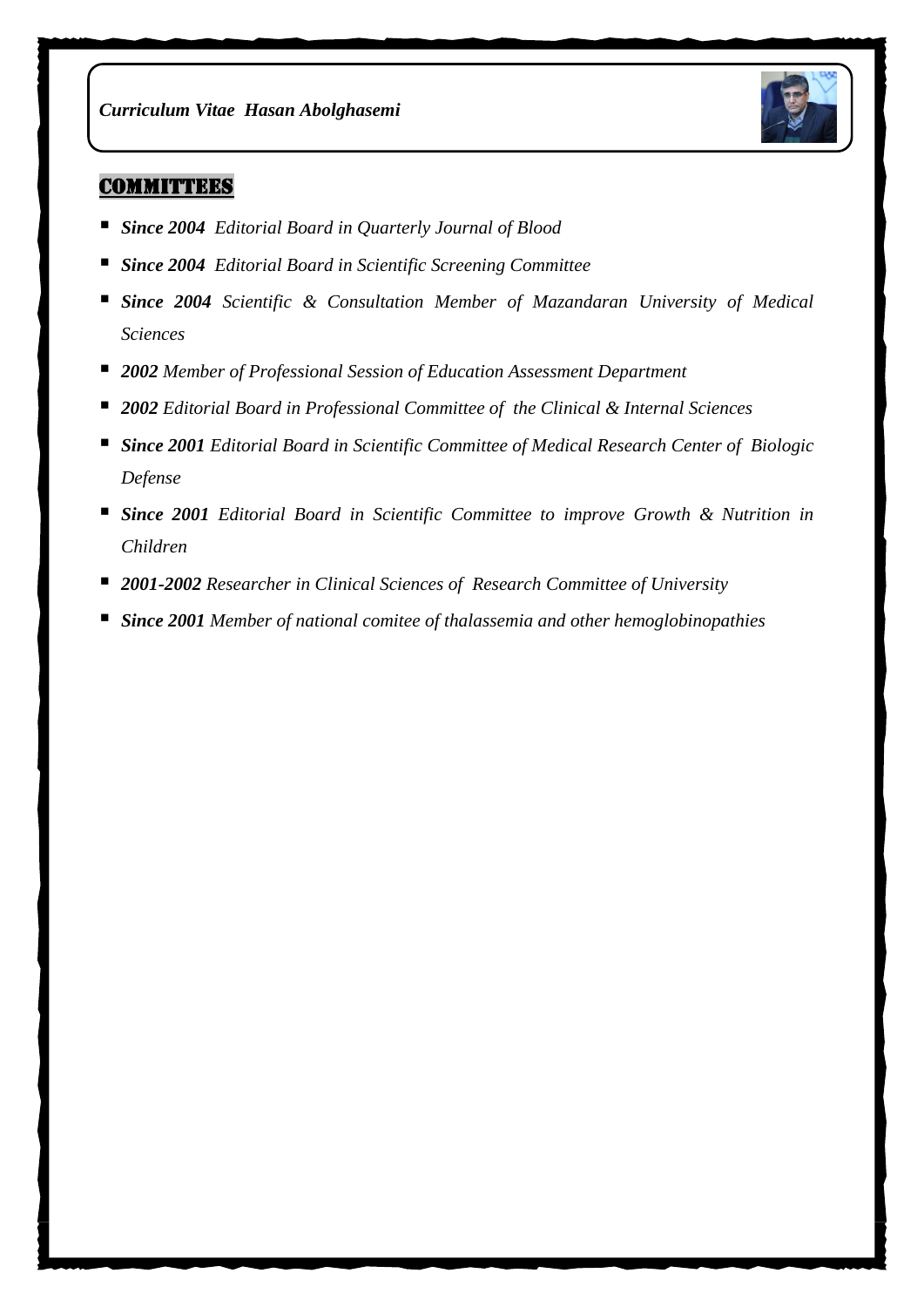

## **COMMITTEES**

- *Since 2004 Editorial Board in Quarterly Journal of Blood*
- *Since 2004 Editorial Board in Scientific Screening Committee*
- *Since 2004 Scientific & Consultation Member of Mazandaran University of Medical Sciences*
- *2002 Member of Professional Session of Education Assessment Department*
- *2002 Editorial Board in Professional Committee of the Clinical & Internal Sciences*
- *Since 2001 Editorial Board in Scientific Committee of Medical Research Center of Biologic Defense*
- *Since 2001 Editorial Board in Scientific Committee to improve Growth & Nutrition in Children*
- *2001-2002 Researcher in Clinical Sciences of Research Committee of University*
- *Since 2001 Member of national comitee of thalassemia and other hemoglobinopathies*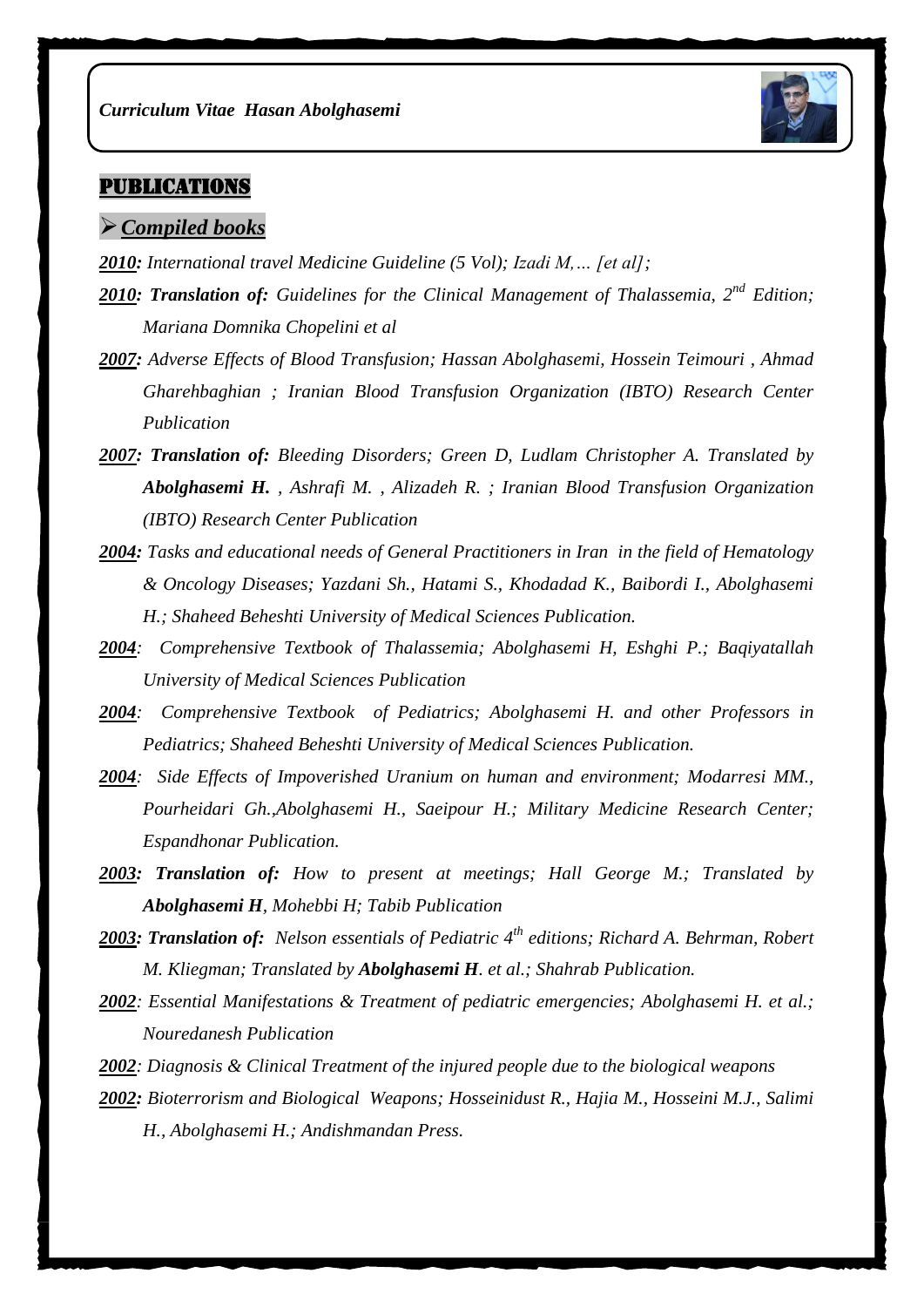

# **PUBLICATIONS**

#### *Compiled books*

- *2010: International travel Medicine Guideline (5 Vol); Izadi M,… [et al];*
- *2010: Translation of: Guidelines for the Clinical Management of Thalassemia, 2nd Edition; Mariana Domnika Chopelini et al*
- *2007: Adverse Effects of Blood Transfusion; Hassan Abolghasemi, Hossein Teimouri , Ahmad Gharehbaghian ; Iranian Blood Transfusion Organization (IBTO) Research Center Publication*
- *2007: Translation of: Bleeding Disorders; Green D, Ludlam Christopher A. Translated by Abolghasemi H. , Ashrafi M. , Alizadeh R. ; Iranian Blood Transfusion Organization (IBTO) Research Center Publication*
- *2004: Tasks and educational needs of General Practitioners in Iran in the field of Hematology & Oncology Diseases; Yazdani Sh., Hatami S., Khodadad K., Baibordi I., Abolghasemi H.; Shaheed Beheshti University of Medical Sciences Publication.*
- *2004: Comprehensive Textbook of Thalassemia; Abolghasemi H, Eshghi P.; Baqiyatallah University of Medical Sciences Publication*
- *2004: Comprehensive Textbook of Pediatrics; Abolghasemi H. and other Professors in Pediatrics; Shaheed Beheshti University of Medical Sciences Publication.*
- *2004: Side Effects of Impoverished Uranium on human and environment; Modarresi MM., Pourheidari Gh.,Abolghasemi H., Saeipour H.; Military Medicine Research Center; Espandhonar Publication.*
- *2003: Translation of: How to present at meetings; Hall George M.; Translated by Abolghasemi H, Mohebbi H; Tabib Publication*
- *2003: Translation of: Nelson essentials of Pediatric 4th editions; Richard A. Behrman, Robert M. Kliegman; Translated by Abolghasemi H. et al.; Shahrab Publication.*
- *2002: Essential Manifestations & Treatment of pediatric emergencies; Abolghasemi H. et al.; Nouredanesh Publication*
- *2002: Diagnosis & Clinical Treatment of the injured people due to the biological weapons*
- *2002: Bioterrorism and Biological Weapons; Hosseinidust R., Hajia M., Hosseini M.J., Salimi H., Abolghasemi H.; Andishmandan Press.*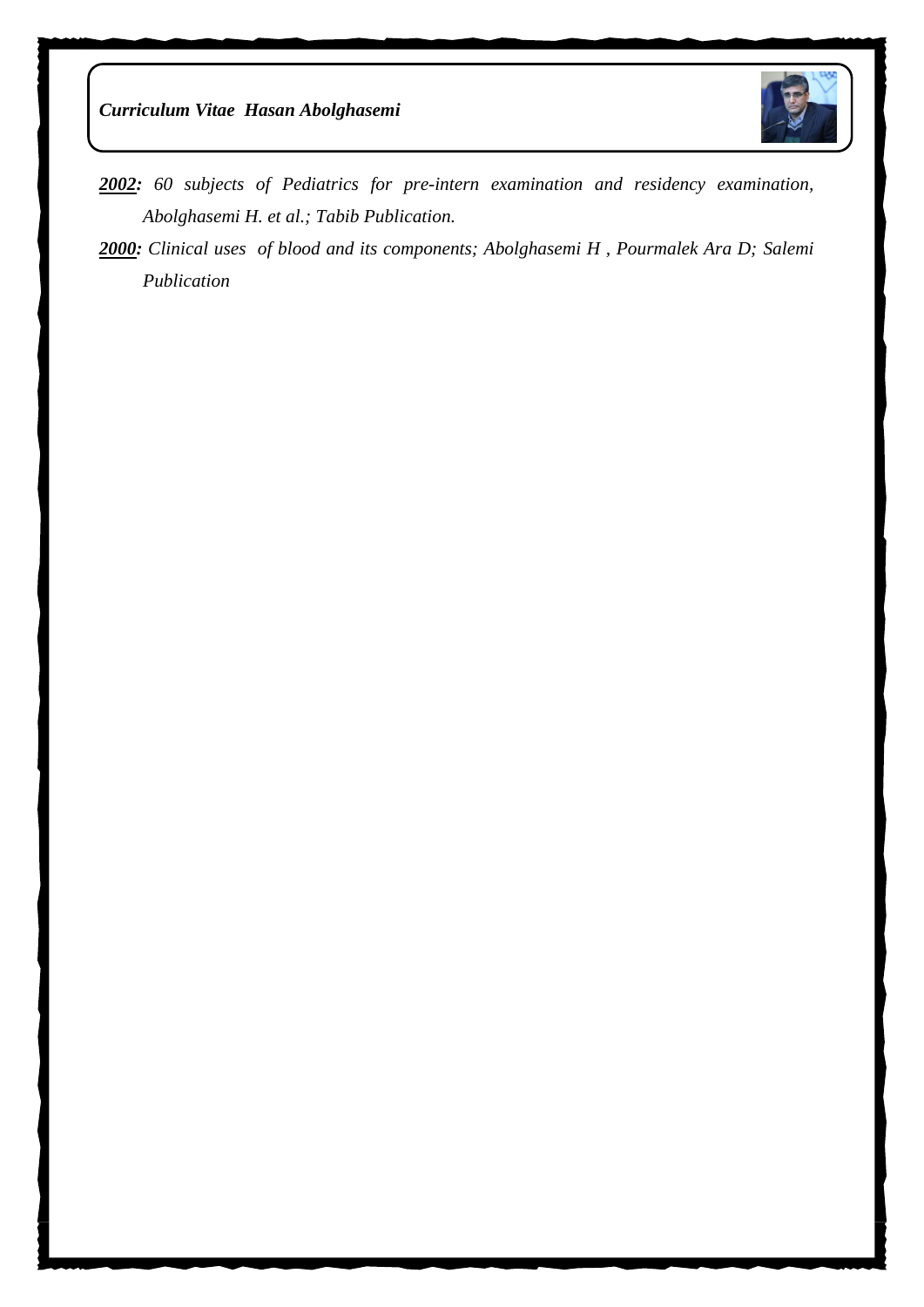



- *2002: 60 subjects of Pediatrics for pre-intern examination and residency examination, Abolghasemi H. et al.; Tabib Publication.*
- *2000: Clinical uses of blood and its components; Abolghasemi H , Pourmalek Ara D; Salemi Publication*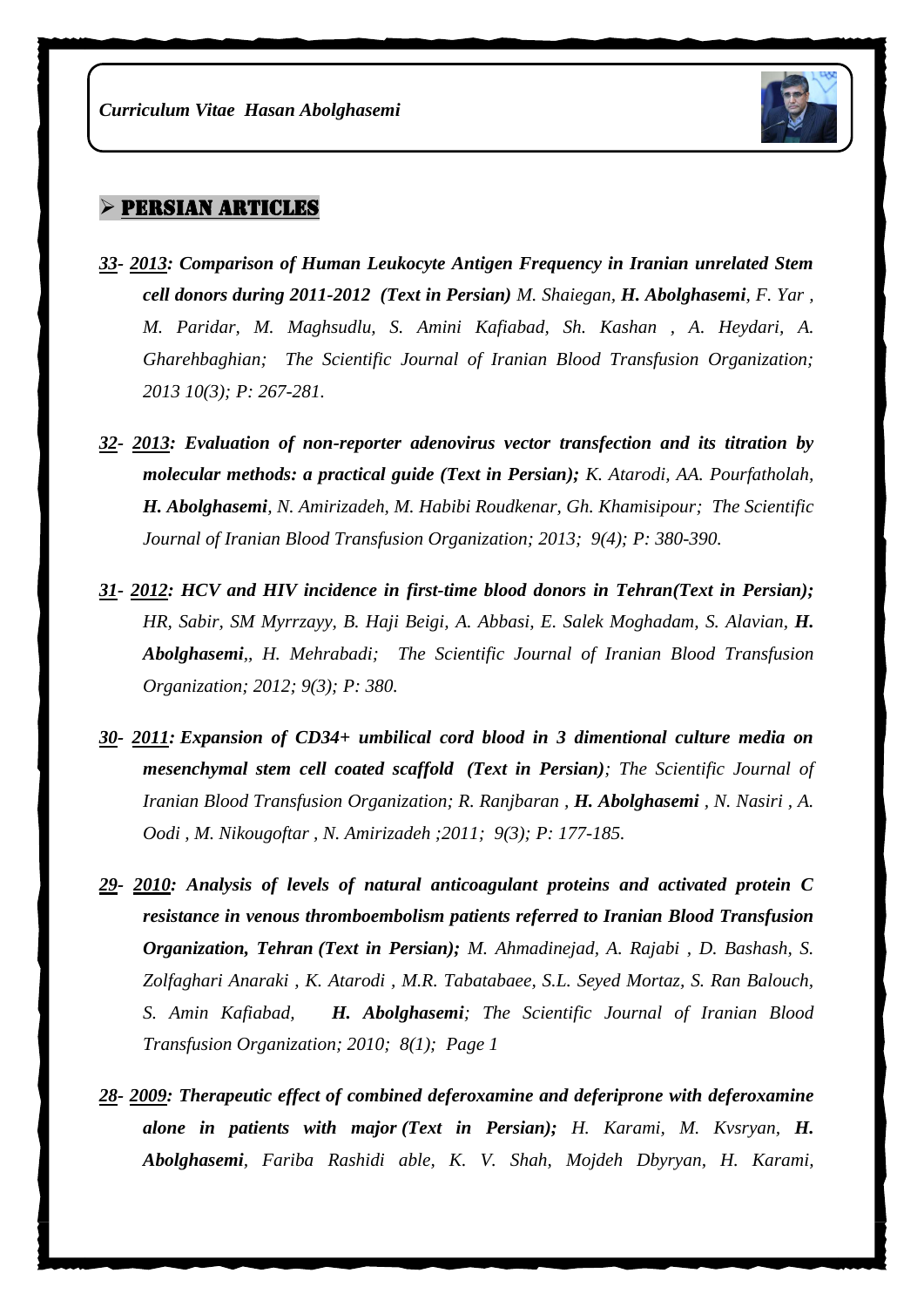

#### $>$  PERSIAN ARTICLES

- *33- 2013: Comparison of Human Leukocyte Antigen Frequency in Iranian unrelated Stem cell donors during 2011-2012 (Text in Persian) M. Shaiegan, H. Abolghasemi, F. Yar , M. Paridar, M. Maghsudlu, S. Amini Kafiabad, Sh. Kashan , A. Heydari, A. Gharehbaghian; The Scientific Journal of Iranian Blood Transfusion Organization; 2013 10(3); P: 267-281.*
- *32- 2013: Evaluation of non-reporter adenovirus vector transfection and its titration by molecular methods: a practical guide (Text in Persian); K. Atarodi, AA. Pourfatholah, H. Abolghasemi, N. Amirizadeh, M. Habibi Roudkenar, Gh. Khamisipour; The Scientific Journal of Iranian Blood Transfusion Organization; 2013; 9(4); P: 380-390.*
- *31- 2012: HCV and HIV incidence in first-time blood donors in Tehran(Text in Persian); HR, Sabir, SM Myrrzayy, B. Haji Beigi, A. Abbasi, E. Salek Moghadam, S. Alavian, H. Abolghasemi,, H. Mehrabadi; The Scientific Journal of Iranian Blood Transfusion Organization; 2012; 9(3); P: 380.*
- *30- 2011: Expansion of CD34+ umbilical cord blood in 3 dimentional culture media on mesenchymal stem cell coated scaffold (Text in Persian); The Scientific Journal of Iranian Blood Transfusion Organization; R. Ranjbaran, H. Abolghasemi, N. Nasiri, A. Oodi , M. Nikougoftar , N. Amirizadeh ;2011; 9(3); P: 177-185.*
- *29- 2010: Analysis of levels of natural anticoagulant proteins and activated protein C resistance in venous thromboembolism patients referred to Iranian Blood Transfusion Organization, Tehran (Text in Persian); M. Ahmadinejad, A. Rajabi , D. Bashash, S. Zolfaghari Anaraki , K. Atarodi , M.R. Tabatabaee, S.L. Seyed Mortaz, S. Ran Balouch, S. Amin Kafiabad, H. Abolghasemi; The Scientific Journal of Iranian Blood Transfusion Organization; 2010; 8(1); Page 1*
- *28- 2009: Therapeutic effect of combined deferoxamine and deferiprone with deferoxamine alone in patients with major (Text in Persian); H. Karami, M. Kvsryan, H. Abolghasemi, Fariba Rashidi able, K. V. Shah, Mojdeh Dbyryan, H. Karami,*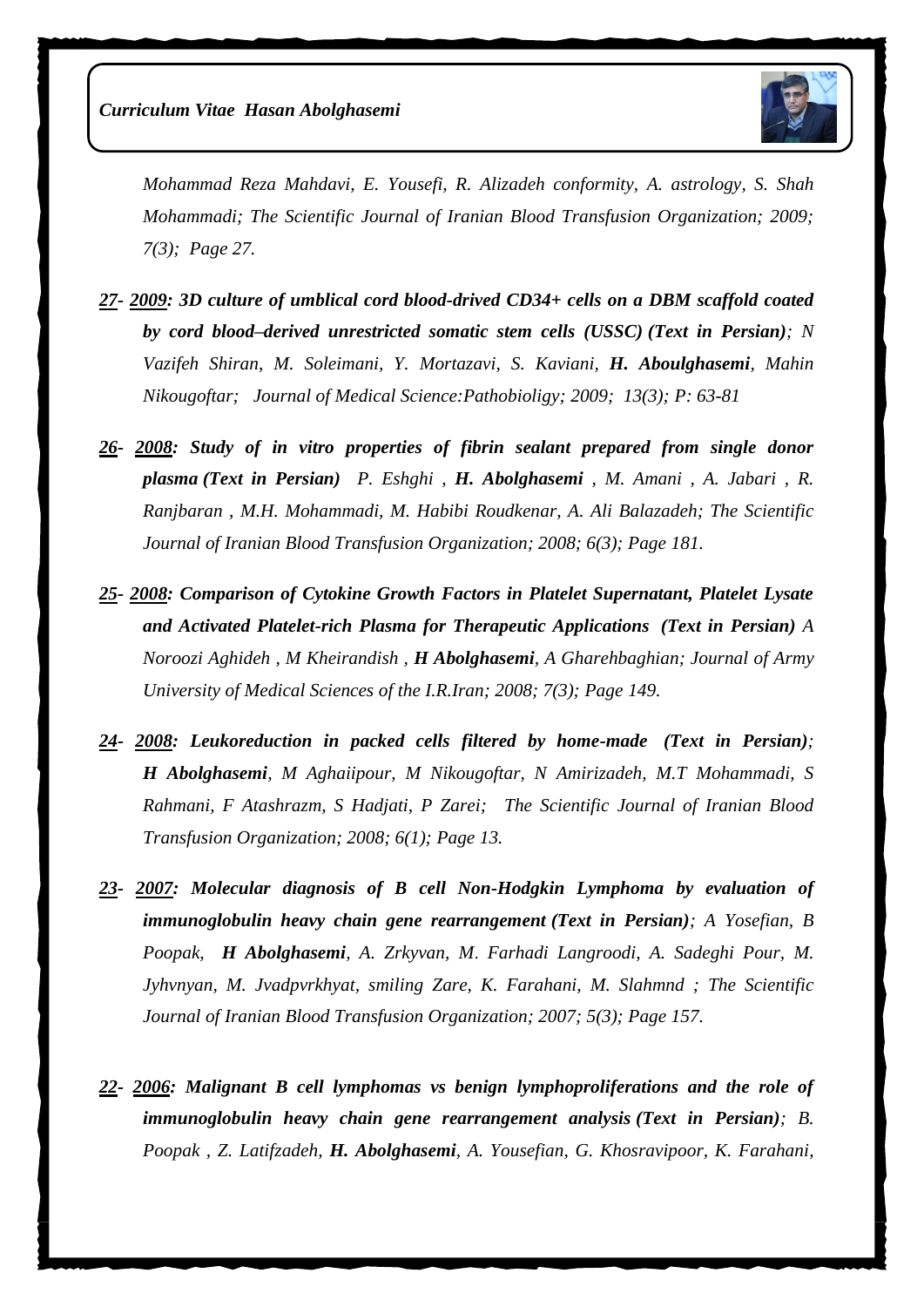

*Mohammad Reza Mahdavi, E. Yousefi, R. Alizadeh conformity, A. astrology, S. Shah Mohammadi; The Scientific Journal of Iranian Blood Transfusion Organization; 2009; 7(3); Page 27.*

- *27- 2009: 3D culture of umblical cord blood-drived CD34+ cells on a DBM scaffold coated by cord blood–derived unrestricted somatic stem cells (USSC) (Text in Persian); N Vazifeh Shiran, M. Soleimani, Y. Mortazavi, S. Kaviani, H. Aboulghasemi, Mahin Nikougoftar; Journal of Medical Science:Pathobioligy; 2009; 13(3); P: 63-81*
- *26- 2008: Study of in vitro properties of fibrin sealant prepared from single donor plasma (Text in Persian) P. Eshghi , H. Abolghasemi , M. Amani , A. Jabari , R. Ranjbaran , M.H. Mohammadi, M. Habibi Roudkenar, A. Ali Balazadeh; The Scientific Journal of Iranian Blood Transfusion Organization; 2008; 6(3); Page 181.*
- *25- 2008: Comparison of Cytokine Growth Factors in Platelet Supernatant, Platelet Lysate and Activated Platelet-rich Plasma for Therapeutic Applications (Text in Persian) A Noroozi Aghideh , M Kheirandish , H Abolghasemi, A Gharehbaghian; Journal of Army University of Medical Sciences of the I.R.Iran; 2008; 7(3); Page 149.*
- *24- 2008: Leukoreduction in packed cells filtered by home-made (Text in Persian); H Abolghasemi, M Aghaiipour, M Nikougoftar, N Amirizadeh, M.T Mohammadi, S Rahmani, F Atashrazm, S Hadjati, P Zarei; The Scientific Journal of Iranian Blood Transfusion Organization; 2008; 6(1); Page 13.*
- *23- 2007: Molecular diagnosis of B cell Non-Hodgkin Lymphoma by evaluation of immunoglobulin heavy chain gene rearrangement (Text in Persian); A Yosefian, B Poopak, H Abolghasemi, A. Zrkyvan, M*. *Farhadi Langroodi, A. Sadeghi Pour, M. Jyhvnyan, M. Jvadpvrkhyat, smiling Zare, K. Farahani, M. Slahmnd ; The Scientific Journal of Iranian Blood Transfusion Organization; 2007; 5(3); Page 157.*
- *22- 2006: Malignant B cell lymphomas vs benign lymphoproliferations and the role of immunoglobulin heavy chain gene rearrangement analysis (Text in Persian); B. Poopak , Z. Latifzadeh, H. Abolghasemi, A. Yousefian, G. Khosravipoor, K. Farahani,*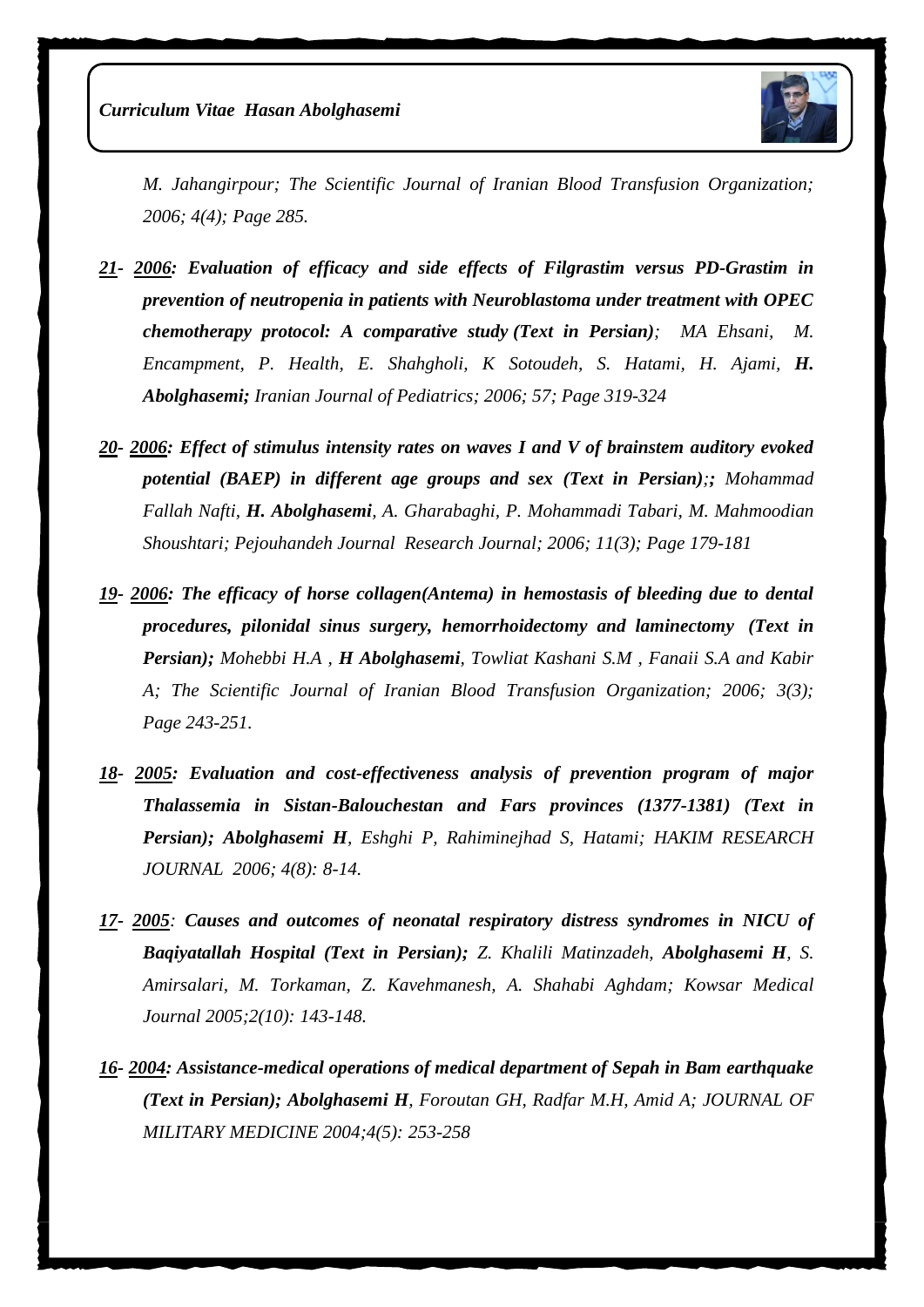

*M. Jahangirpour; The Scientific Journal of Iranian Blood Transfusion Organization; 2006; 4(4); Page 285.*

- *21- 2006: Evaluation of efficacy and side effects of Filgrastim versus PD-Grastim in prevention of neutropenia in patients with Neuroblastoma under treatment with OPEC chemotherapy protocol: A comparative study (Text in Persian); MA Ehsani, M. Encampment, P. Health, E. Shahgholi, K Sotoudeh, S. Hatami, H. Ajami, H. Abolghasemi; Iranian Journal of Pediatrics; 2006; 57; Page 319-324*
- *20- 2006: Effect of stimulus intensity rates on waves I and V of brainstem auditory evoked potential (BAEP) in different age groups and sex (Text in Persian);; Mohammad Fallah Nafti, H. Abolghasemi, A. Gharabaghi, P. Mohammadi Tabari, M. Mahmoodian Shoushtari; Pejouhandeh Journal Research Journal; 2006; 11(3); Page 179-181*
- *19- 2006: The efficacy of horse collagen(Antema) in hemostasis of bleeding due to dental procedures, pilonidal sinus surgery, hemorrhoidectomy and laminectomy (Text in Persian); Mohebbi H.A , H Abolghasemi, Towliat Kashani S.M , Fanaii S.A and Kabir A; The Scientific Journal of Iranian Blood Transfusion Organization; 2006; 3(3); Page 243-251.*
- *18- 2005: Evaluation and cost-effectiveness analysis of prevention program of major Thalassemia in Sistan-Balouchestan and Fars provinces (1377-1381) (Text in Persian); Abolghasemi H, Eshghi P, Rahiminejhad S, Hatami; HAKIM RESEARCH JOURNAL 2006; 4(8): 8-14.*
- *17- 2005: Causes and outcomes of neonatal respiratory distress syndromes in NICU of Baqiyatallah Hospital (Text in Persian); Z. Khalili Matinzadeh, Abolghasemi H, S. Amirsalari, M. Torkaman, Z. Kavehmanesh, A. Shahabi Aghdam; Kowsar Medical Journal 2005;2(10): 143-148.*
- *16- 2004: Assistance-medical operations of medical department of Sepah in Bam earthquake (Text in Persian); [Abolghasemi H](http://www.militarymedj.ir/search.php?slc_lang=en&sid=1&auth=Abolghasemi+H.), [Foroutan GH,](http://www.militarymedj.ir/search.php?slc_lang=en&sid=1&auth=Foroutan+GH.) [Radfar M.H,](http://www.militarymedj.ir/search.php?slc_lang=en&sid=1&auth=Radfar+M.+H.) [Amid A;](http://www.militarymedj.ir/search.php?slc_lang=en&sid=1&auth=Amid+A.) JOURNAL OF MILITARY MEDICINE 2004;4(5): 253-258*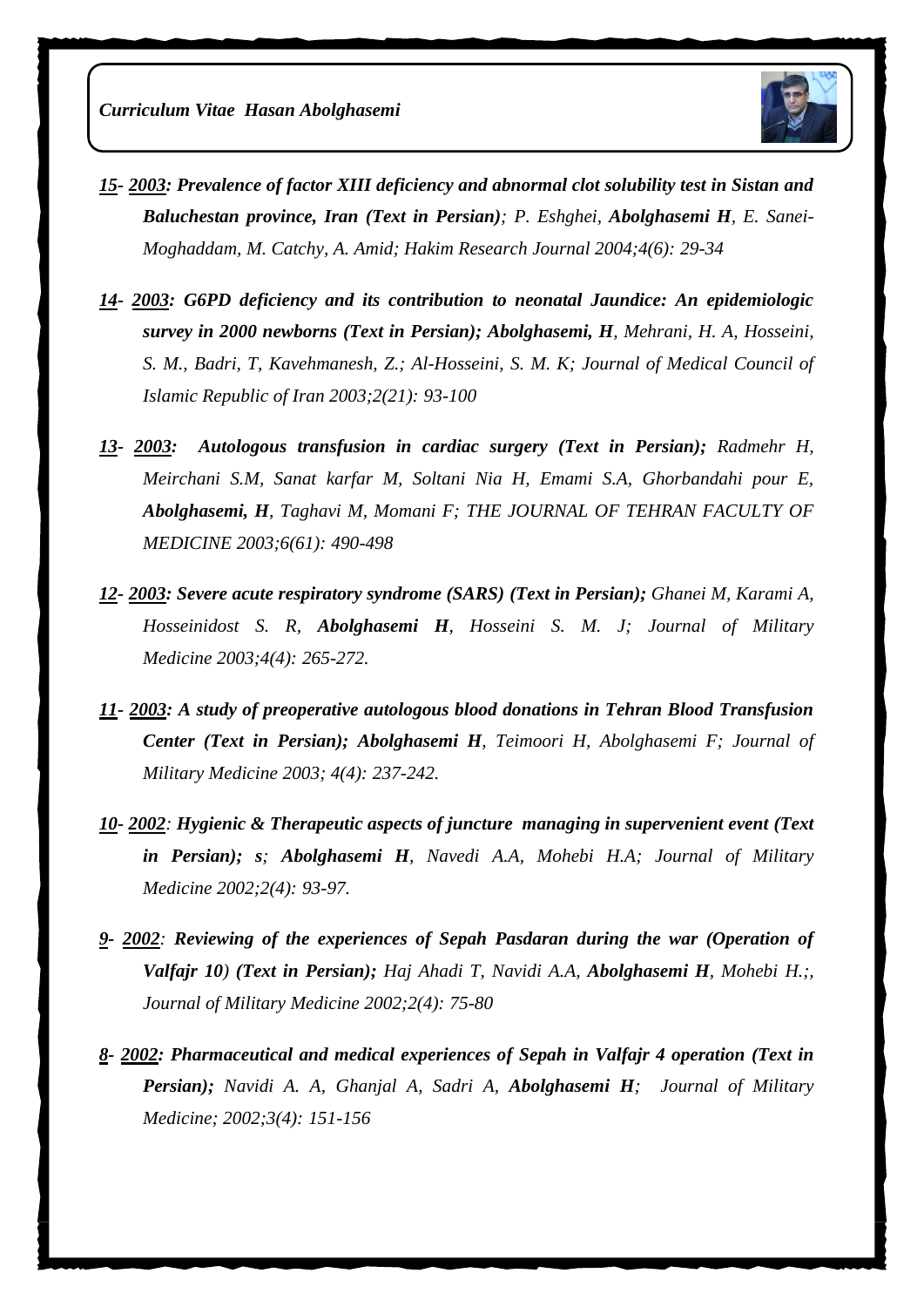

- *15- 2003: Prevalence of factor XIII deficiency and abnormal clot solubility test in Sistan and Baluchestan province, Iran (Text in Persian); P. Eshghei, Abolghasemi H, E. Sanei-Moghaddam, M. Catchy, A. Amid; Hakim Research Journal 2004;4(6): 29-34*
- *14- 2003: G6PD deficiency and its contribution to neonatal Jaundice: An epidemiologic survey in 2000 newborns (Text in Persian); [Abolghasemi, H](http://www.cabdirect.org/search.html?q=au%3A%22Abolghasemi%2C+H.%22), [Mehrani, H. A,](http://www.cabdirect.org/search.html?q=au%3A%22Mehrani%2C+H.+A.%22) [Hosseini,](http://www.cabdirect.org/search.html?q=au%3A%22Hosseini%2C+S.+M.%22)  [S. M.,](http://www.cabdirect.org/search.html?q=au%3A%22Hosseini%2C+S.+M.%22) [Badri, T,](http://www.cabdirect.org/search.html?q=au%3A%22Badri%2C+T.%22) [Kavehmanesh, Z.;](http://www.cabdirect.org/search.html?q=au%3A%22Kavehmanesh%2C+Z.%22) [Al-Hosseini, S. M. K; J](http://www.cabdirect.org/search.html?q=au%3A%22Al-Hosseini%2C+S.+M.+K.%22)ournal of Medical Council of Islamic Republic of Iran 2003;2(21): 93-100*
- *13- 2003: Autologous transfusion in cardiac surgery (Text in Persian); Radmehr H, Meirchani S.M, Sanat karfar M, Soltani Nia H, Emami S.A, Ghorbandahi pour E, [Abolghasemi, H](http://www.cabdirect.org/search.html?q=au%3A%22Abolghasemi%2C+H.%22), Taghavi M, Momani F; THE JOURNAL OF TEHRAN FACULTY OF MEDICINE 2003;6(61): 490-498*
- *12- 2003: Severe acute respiratory syndrome (SARS) (Text in Persian); [Ghanei M,](http://www.militarymedj.ir/search.php?slc_lang=en&sid=1&auth=Ghanei+M.) [Karami A,](http://www.militarymedj.ir/search.php?slc_lang=en&sid=1&auth=Karami+A.) [Hosseinidost S. R,](http://www.militarymedj.ir/search.php?slc_lang=en&sid=1&auth=Hosseinidost+S.+R.) [Abolghasemi H](http://www.militarymedj.ir/search.php?slc_lang=en&sid=1&auth=Abolghasemi+H.), [Hosseini S. M. J;](http://www.militarymedj.ir/search.php?slc_lang=en&sid=1&auth=Hosseini+S.+M.+J.) Journal of Military Medicine 2003;4(4): 265-272.*
- *11- 2003: A study of preoperative autologous blood donations in Tehran Blood Transfusion Center (Text in Persian); [Abolghasemi H](http://www.militarymedj.ir/search.php?slc_lang=en&sid=1&auth=Abolghasemi+H.), [Teimoori H,](http://www.militarymedj.ir/search.php?slc_lang=en&sid=1&auth=Teimoori+H.) [Abolghasemi F;](http://www.militarymedj.ir/search.php?slc_lang=en&sid=1&auth=Abolghasemi+F.) Journal of Military Medicine 2003; 4(4): 237-242.*
- *10- 2002: Hygienic & Therapeutic aspects of juncture managing in supervenient event (Text in Persian); s; [Abolghasemi H](http://www.militarymedj.ir/search.php?slc_lang=en&sid=1&auth=Abolghasemi+H.), Navedi A.A, [Mohebi H.A;](http://www.militarymedj.ir/search.php?slc_lang=en&sid=1&auth=Abolghasemi+F.) Journal of Military Medicine 2002;2(4): 93-97.*
- *9- 2002: Reviewing of the experiences of Sepah Pasdaran during the war (Operation of Valfajr 10) (Text in Persian); Haj Ahadi T, [Navidi A.A,](http://militarymedj.ir/search.php?slc_lang=en&sid=1&auth=Navidi+A.+A.) [Abolghasemi H](http://militarymedj.ir/search.php?slc_lang=en&sid=1&auth=Abolghasemi+H.), Mohebi H.;, Journal of Military Medicine 2002;2(4): 75-80*
- *8- 2002: Pharmaceutical and medical experiences of Sepah in Valfajr 4 operation (Text in Persian); [Navidi A. A,](http://militarymedj.ir/search.php?slc_lang=en&sid=1&auth=Navidi+A.+A.) [Ghanjal A,](http://militarymedj.ir/search.php?slc_lang=en&sid=1&auth=Ghanjal+A.) [Sadri A,](http://militarymedj.ir/search.php?slc_lang=en&sid=1&auth=Sadri+A.) [Abolghasemi H](http://militarymedj.ir/search.php?slc_lang=en&sid=1&auth=Abolghasemi+H.); Journal of Military Medicine; 2002;3(4): 151-156*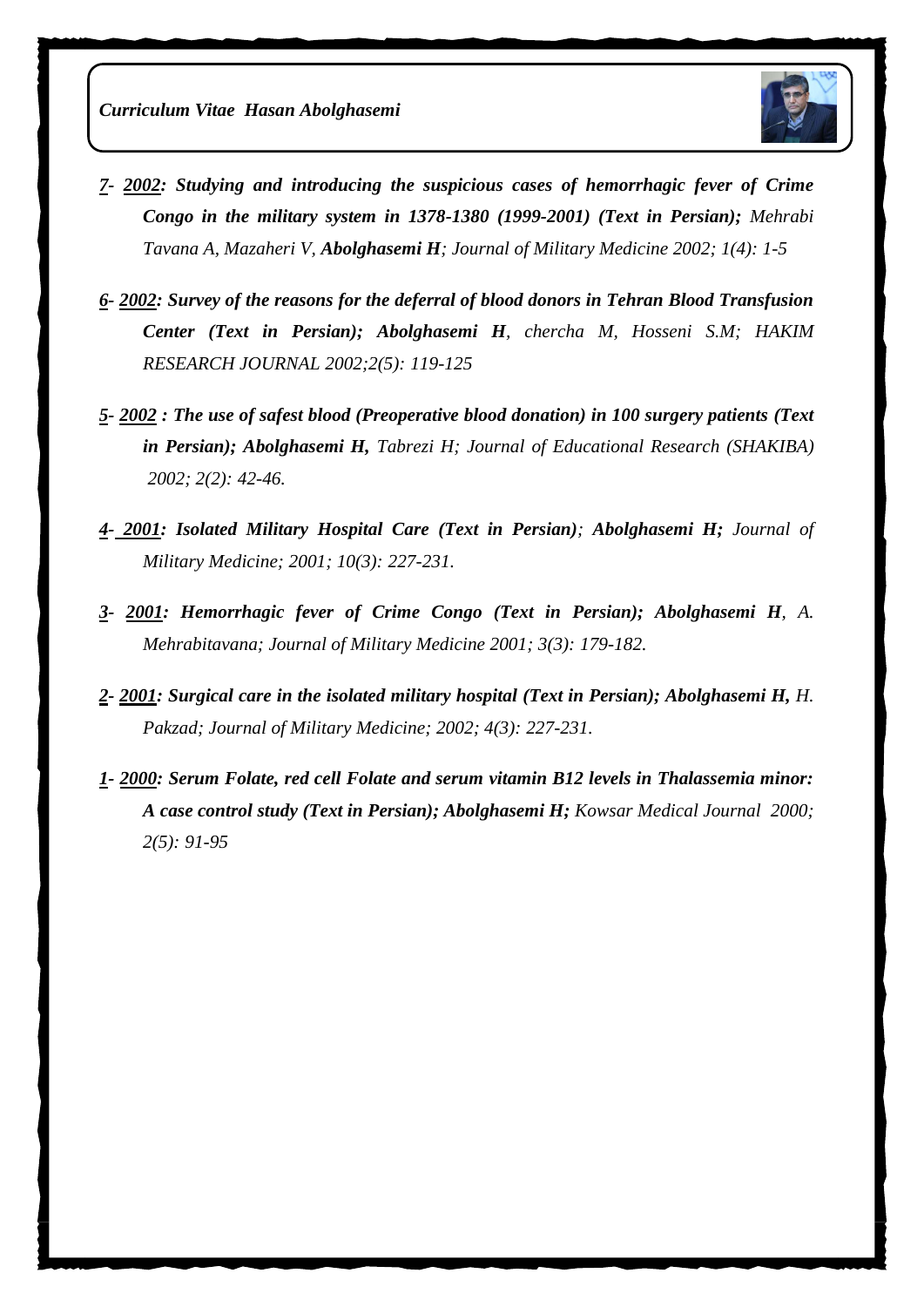

- *7- 2002: Studying and introducing the suspicious cases of hemorrhagic fever of Crime Congo in the military system in 1378-1380 (1999-2001) (Text in Persian); Mehrabi Tavana A, Mazaheri V, [Abolghasemi H](http://militarymedj.ir/search.php?slc_lang=en&sid=1&auth=Abolghasemi+H.); Journal of Military Medicine 2002; 1(4): 1-5*
- *6- 2002: Survey of the reasons for the deferral of blood donors in Tehran Blood Transfusion Center (Text in Persian); Abolghasemi H, chercha M, Hosseni S.[M; H](http://militarymedj.ir/search.php?slc_lang=en&sid=1&auth=Abolghasemi+H.)AKIM RESEARCH JOURNAL 2002;2(5): 119-125*
- *5- 2002 : The use of safest blood (Preoperative blood donation) in 100 surgery patients (Text in Persian); [Abolghasemi H,](http://militarymedj.ir/search.php?slc_lang=en&sid=1&auth=Abolghasemi+H.) Tabrezi H; Journal of Educational Research (SHAKIBA) 2002; 2(2): 42-46.*
- *4- 2001: Isolated Military Hospital Care (Text in Persian); Abolghasemi H; Journal of Military Medicine; 2001; 10(3): 227-231.*
- *3- 2001: Hemorrhagic fever of Crime Congo (Text in Persian); Abolghasemi H, A. Mehrabitavana; Journal of Military Medicine 2001; 3(3): 179-182.*
- *2- 2001: Surgical care in the isolated military hospital (Text in Persian); Abolghasemi H, H. Pakzad; Journal of Military Medicine; 2002; 4(3): 227-231.*
- *1- 2000: Serum Folate, red cell Folate and serum vitamin B12 levels in Thalassemia minor: A case control study (Text in Persian); Abolghasemi H; Kowsar Medical Journal 2000; 2(5): 91-95*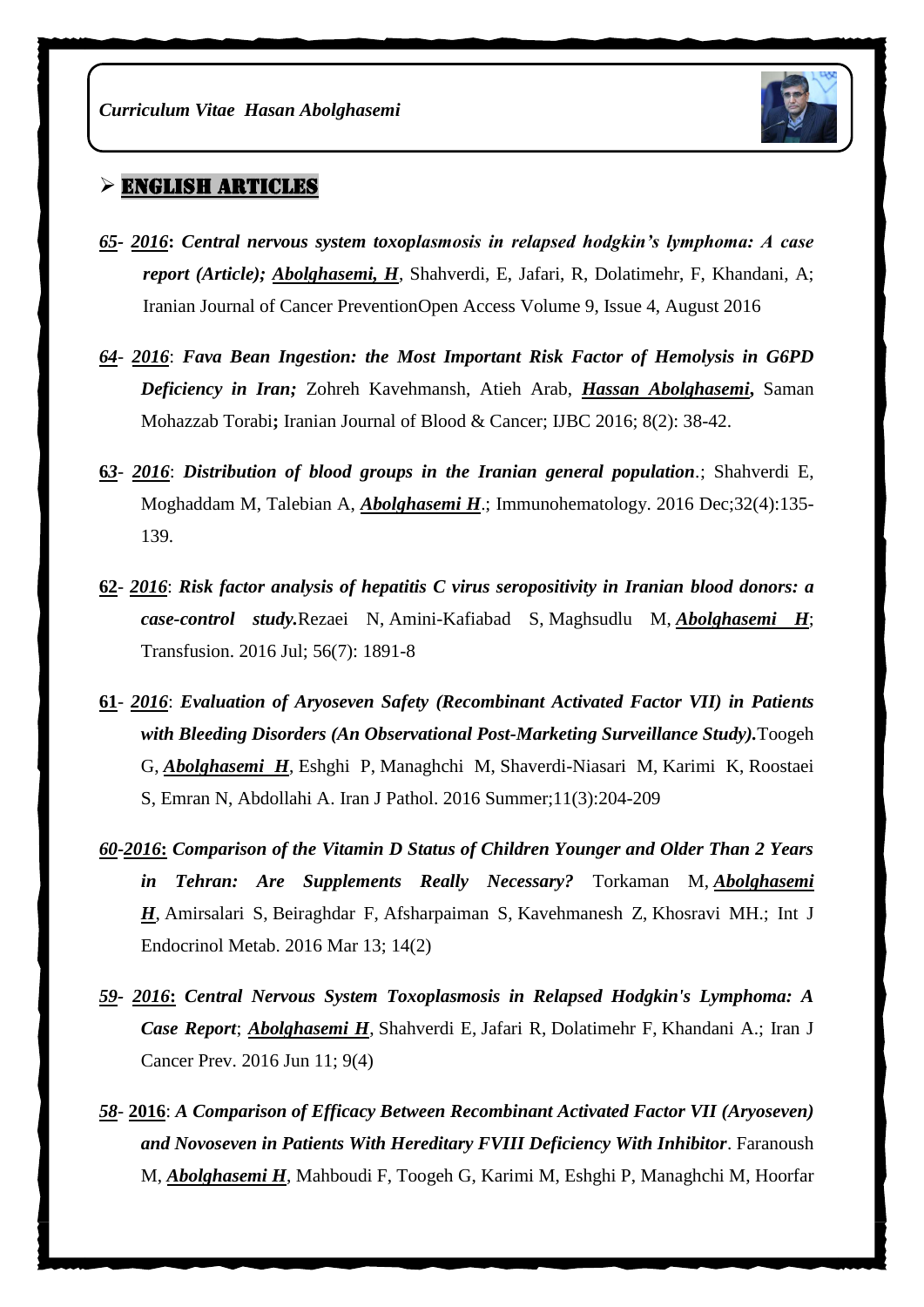

### $\triangleright$  ENGLISH ARTICLES

- *65- 2016***:** *Central nervous system toxoplasmosis in relapsed hodgkin's lymphoma: A case report (Article); [Abolghasemi, H](https://www.scopus.com/authid/detail.uri?authorId=55880910800&eid=2-s2.0-84989245364)*, [Shahverdi, E,](https://www.scopus.com/authid/detail.uri?authorId=56587921500&eid=2-s2.0-84989245364) [Jafari, R,](https://www.scopus.com/authid/detail.uri?authorId=57189664168&eid=2-s2.0-84989245364) [Dolatimehr, F,](https://www.scopus.com/authid/detail.uri?authorId=56913419600&eid=2-s2.0-84989245364) [Khandani, A;](https://www.scopus.com/authid/detail.uri?authorId=57191372462&eid=2-s2.0-84989245364)  [Iranian Journal of Cancer PreventionO](https://www.scopus.com/sourceid/19700175058?origin=recordpage)pen Access Volume 9, Issue 4, August 2016
- *64 2016*: *Fava Bean Ingestion: the Most Important Risk Factor of Hemolysis in G6PD Deficiency in Iran;* Zohreh Kavehmansh, Atieh Arab, *Hassan Abolghasemi***,** Saman Mohazzab Torabi**;** Iranian Journal of Blood & Cancer; IJBC 2016; 8(2): 38-42.
- **6***3 2016*: *[Distribution of blood groups in the Iranian general population](https://www.ncbi.nlm.nih.gov/pubmed/28257227).*; Shahverdi E, Moghaddam M, Talebian A, *Abolghasemi H*.; Immunohematology. 2016 Dec;32(4):135- 139.
- **62** *2016*: *Risk factor analysis of hepatitis C virus seropositivity in Iranian blood donors: a case-control study.*[Rezaei N,](https://www.ncbi.nlm.nih.gov/pubmed/?term=Rezaei%20N%5BAuthor%5D&cauthor=true&cauthor_uid=27273657) [Amini-Kafiabad S,](https://www.ncbi.nlm.nih.gov/pubmed/?term=Amini-Kafiabad%20S%5BAuthor%5D&cauthor=true&cauthor_uid=27273657) [Maghsudlu M,](https://www.ncbi.nlm.nih.gov/pubmed/?term=Maghsudlu%20M%5BAuthor%5D&cauthor=true&cauthor_uid=27273657) *[Abolghasemi H](https://www.ncbi.nlm.nih.gov/pubmed/?term=Abolghasemi%20H%5BAuthor%5D&cauthor=true&cauthor_uid=27273657)*; [Transfusion.](https://www.ncbi.nlm.nih.gov/pubmed/27273657) 2016 Jul; 56(7): 1891-8
- **61** *2016*: *Evaluation of Aryoseven Safety (Recombinant Activated Factor VII) in Patients with Bleeding Disorders (An Observational Post-Marketing Surveillance Study).*[Toogeh](https://www.ncbi.nlm.nih.gov/pubmed/?term=Toogeh%20G%5BAuthor%5D&cauthor=true&cauthor_uid=27799968)  [G,](https://www.ncbi.nlm.nih.gov/pubmed/?term=Toogeh%20G%5BAuthor%5D&cauthor=true&cauthor_uid=27799968) *[Abolghasemi H](https://www.ncbi.nlm.nih.gov/pubmed/?term=Abolghasemi%20H%5BAuthor%5D&cauthor=true&cauthor_uid=27799968)*, [Eshghi P,](https://www.ncbi.nlm.nih.gov/pubmed/?term=Eshghi%20P%5BAuthor%5D&cauthor=true&cauthor_uid=27799968) [Managhchi M,](https://www.ncbi.nlm.nih.gov/pubmed/?term=Managhchi%20M%5BAuthor%5D&cauthor=true&cauthor_uid=27799968) [Shaverdi-Niasari M,](https://www.ncbi.nlm.nih.gov/pubmed/?term=Shaverdi-Niasari%20M%5BAuthor%5D&cauthor=true&cauthor_uid=27799968) [Karimi K,](https://www.ncbi.nlm.nih.gov/pubmed/?term=Karimi%20K%5BAuthor%5D&cauthor=true&cauthor_uid=27799968) [Roostaei](https://www.ncbi.nlm.nih.gov/pubmed/?term=Roostaei%20S%5BAuthor%5D&cauthor=true&cauthor_uid=27799968)  [S,](https://www.ncbi.nlm.nih.gov/pubmed/?term=Roostaei%20S%5BAuthor%5D&cauthor=true&cauthor_uid=27799968) [Emran N,](https://www.ncbi.nlm.nih.gov/pubmed/?term=Emran%20N%5BAuthor%5D&cauthor=true&cauthor_uid=27799968) [Abdollahi A.](https://www.ncbi.nlm.nih.gov/pubmed/?term=Abdollahi%20A%5BAuthor%5D&cauthor=true&cauthor_uid=27799968) [Iran J Pathol.](https://www.ncbi.nlm.nih.gov/pubmed/27799968) 2016 Summer;11(3):204-209
- *60***-***2016***:** *Comparison of the Vitamin D Status of Children Younger and Older Than 2 Years in Tehran: Are Supplements Really Necessary?* [Torkaman M,](https://www.ncbi.nlm.nih.gov/pubmed/?term=Torkaman%20M%5BAuthor%5D&cauthor=true&cauthor_uid=27679650) *[Abolghasemi](https://www.ncbi.nlm.nih.gov/pubmed/?term=Abolghasemi%20H%5BAuthor%5D&cauthor=true&cauthor_uid=27679650)  [H](https://www.ncbi.nlm.nih.gov/pubmed/?term=Abolghasemi%20H%5BAuthor%5D&cauthor=true&cauthor_uid=27679650)*, [Amirsalari S,](https://www.ncbi.nlm.nih.gov/pubmed/?term=Amirsalari%20S%5BAuthor%5D&cauthor=true&cauthor_uid=27679650) [Beiraghdar F,](https://www.ncbi.nlm.nih.gov/pubmed/?term=Beiraghdar%20F%5BAuthor%5D&cauthor=true&cauthor_uid=27679650) [Afsharpaiman S,](https://www.ncbi.nlm.nih.gov/pubmed/?term=Afsharpaiman%20S%5BAuthor%5D&cauthor=true&cauthor_uid=27679650) [Kavehmanesh Z,](https://www.ncbi.nlm.nih.gov/pubmed/?term=Kavehmanesh%20Z%5BAuthor%5D&cauthor=true&cauthor_uid=27679650) [Khosravi MH.](https://www.ncbi.nlm.nih.gov/pubmed/?term=Khosravi%20MH%5BAuthor%5D&cauthor=true&cauthor_uid=27679650); [Int J](https://www.ncbi.nlm.nih.gov/pubmed/27679650)  [Endocrinol Metab.](https://www.ncbi.nlm.nih.gov/pubmed/27679650) 2016 Mar 13; 14(2)
- *59- 2016***:** *Central Nervous System Toxoplasmosis in Relapsed Hodgkin's Lymphoma: A Case Report*; *[Abolghasemi H](https://www.ncbi.nlm.nih.gov/pubmed/?term=Abolghasemi%20H%5BAuthor%5D&cauthor=true&cauthor_uid=27822344)*, [Shahverdi E,](https://www.ncbi.nlm.nih.gov/pubmed/?term=Shahverdi%20E%5BAuthor%5D&cauthor=true&cauthor_uid=27822344) [Jafari R,](https://www.ncbi.nlm.nih.gov/pubmed/?term=Jafari%20R%5BAuthor%5D&cauthor=true&cauthor_uid=27822344) [Dolatimehr F,](https://www.ncbi.nlm.nih.gov/pubmed/?term=Dolatimehr%20F%5BAuthor%5D&cauthor=true&cauthor_uid=27822344) [Khandani A.](https://www.ncbi.nlm.nih.gov/pubmed/?term=Khandani%20A%5BAuthor%5D&cauthor=true&cauthor_uid=27822344); [Iran J](https://www.ncbi.nlm.nih.gov/pubmed/27822344)  [Cancer Prev.](https://www.ncbi.nlm.nih.gov/pubmed/27822344) 2016 Jun 11; 9(4)
- *58* **2016**: *A Comparison of Efficacy Between Recombinant Activated Factor VII (Aryoseven) and Novoseven in Patients With Hereditary FVIII Deficiency With Inhibitor*. [Faranoush](http://www.ncbi.nlm.nih.gov/pubmed/?term=Faranoush%20M%5BAuthor%5D&cauthor=true&cauthor_uid=25343955)  [M,](http://www.ncbi.nlm.nih.gov/pubmed/?term=Faranoush%20M%5BAuthor%5D&cauthor=true&cauthor_uid=25343955) *[Abolghasemi H](http://www.ncbi.nlm.nih.gov/pubmed/?term=Abolghasemi%20H%5BAuthor%5D&cauthor=true&cauthor_uid=25343955)*, [Mahboudi F,](http://www.ncbi.nlm.nih.gov/pubmed/?term=Mahboudi%20F%5BAuthor%5D&cauthor=true&cauthor_uid=25343955) [Toogeh G,](http://www.ncbi.nlm.nih.gov/pubmed/?term=Toogeh%20G%5BAuthor%5D&cauthor=true&cauthor_uid=25343955) [Karimi M,](http://www.ncbi.nlm.nih.gov/pubmed/?term=Karimi%20M%5BAuthor%5D&cauthor=true&cauthor_uid=25343955) [Eshghi P,](http://www.ncbi.nlm.nih.gov/pubmed/?term=Eshghi%20P%5BAuthor%5D&cauthor=true&cauthor_uid=25343955) [Managhchi M,](http://www.ncbi.nlm.nih.gov/pubmed/?term=Managhchi%20M%5BAuthor%5D&cauthor=true&cauthor_uid=25343955) [Hoorfar](http://www.ncbi.nlm.nih.gov/pubmed/?term=Hoorfar%20H%5BAuthor%5D&cauthor=true&cauthor_uid=25343955)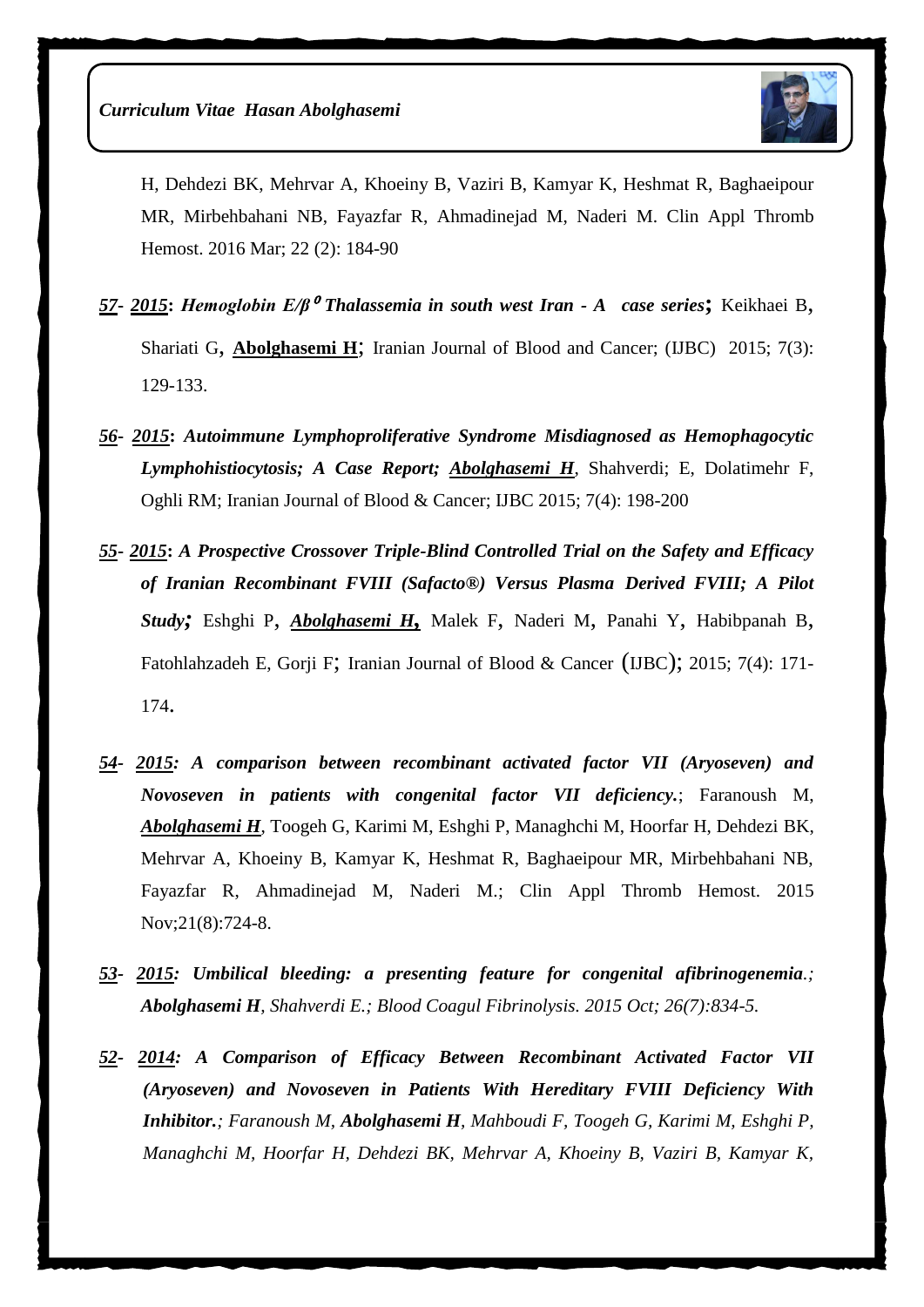

[H,](http://www.ncbi.nlm.nih.gov/pubmed/?term=Hoorfar%20H%5BAuthor%5D&cauthor=true&cauthor_uid=25343955) [Dehdezi BK,](http://www.ncbi.nlm.nih.gov/pubmed/?term=Dehdezi%20BK%5BAuthor%5D&cauthor=true&cauthor_uid=25343955) [Mehrvar A,](http://www.ncbi.nlm.nih.gov/pubmed/?term=Mehrvar%20A%5BAuthor%5D&cauthor=true&cauthor_uid=25343955) [Khoeiny B,](http://www.ncbi.nlm.nih.gov/pubmed/?term=Khoeiny%20B%5BAuthor%5D&cauthor=true&cauthor_uid=25343955) [Vaziri B,](http://www.ncbi.nlm.nih.gov/pubmed/?term=Vaziri%20B%5BAuthor%5D&cauthor=true&cauthor_uid=25343955) [Kamyar K,](http://www.ncbi.nlm.nih.gov/pubmed/?term=Kamyar%20K%5BAuthor%5D&cauthor=true&cauthor_uid=25343955) [Heshmat R,](http://www.ncbi.nlm.nih.gov/pubmed/?term=Heshmat%20R%5BAuthor%5D&cauthor=true&cauthor_uid=25343955) [Baghaeipour](http://www.ncbi.nlm.nih.gov/pubmed/?term=Baghaeipour%20MR%5BAuthor%5D&cauthor=true&cauthor_uid=25343955)  [MR,](http://www.ncbi.nlm.nih.gov/pubmed/?term=Baghaeipour%20MR%5BAuthor%5D&cauthor=true&cauthor_uid=25343955) [Mirbehbahani NB,](http://www.ncbi.nlm.nih.gov/pubmed/?term=Mirbehbahani%20NB%5BAuthor%5D&cauthor=true&cauthor_uid=25343955) [Fayazfar R,](http://www.ncbi.nlm.nih.gov/pubmed/?term=Fayazfar%20R%5BAuthor%5D&cauthor=true&cauthor_uid=25343955) [Ahmadinejad M,](http://www.ncbi.nlm.nih.gov/pubmed/?term=Ahmadinejad%20M%5BAuthor%5D&cauthor=true&cauthor_uid=25343955) [Naderi M.](http://www.ncbi.nlm.nih.gov/pubmed/?term=Naderi%20M%5BAuthor%5D&cauthor=true&cauthor_uid=25343955) [Clin Appl Thromb](http://www.ncbi.nlm.nih.gov/pubmed/25343955)  [Hemost.](http://www.ncbi.nlm.nih.gov/pubmed/25343955) 2016 Mar; 22 (2): 184-90

- *57***-** *2015***:** *Hemoglobin E/β*<sup>⁰</sup> *Thalassemia in south west Iran - A case series***;** Keikhaei B, Shariati G, Abolghasemi H; Iranian Journal of Blood and Cancer; (IJBC) 2015; 7(3): 129-133.
- *56***-** *2015***:** *Autoimmune Lymphoproliferative Syndrome Misdiagnosed as Hemophagocytic Lymphohistiocytosis; A Case Report; Abolghasemi H*, Shahverdi; E, Dolatimehr F, Oghli RM; Iranian Journal of Blood & Cancer; IJBC 2015; 7(4): 198-200
- *55***-** *2015***:** *A Prospective Crossover Triple-Blind Controlled Trial on the Safety and Efficacy of Iranian Recombinant FVIII (Safacto®) Versus Plasma Derived FVIII; A Pilot Study;* Eshghi P, *Abolghasemi H,* Malek F, Naderi M, Panahi Y, Habibpanah B, Fatohlahzadeh E, Gorji F; Iranian Journal of Blood & Cancer (IJBC); 2015; 7(4): 171- 174.
- *54- 2015: [A comparison between recombinant activated factor VII \(Aryoseven\) and](https://www.ncbi.nlm.nih.gov/pubmed/24651301)  [Novoseven in patients with congenital factor VII deficiency.](https://www.ncbi.nlm.nih.gov/pubmed/24651301)*; Faranoush M, *Abolghasemi H*, Toogeh G, Karimi M, Eshghi P, Managhchi M, Hoorfar H, Dehdezi BK, Mehrvar A, Khoeiny B, Kamyar K, Heshmat R, Baghaeipour MR, Mirbehbahani NB, Fayazfar R, Ahmadinejad M, Naderi M.; Clin Appl Thromb Hemost. 2015 Nov;21(8):724-8.
- *53- 2015: [Umbilical bleeding: a presenting feature for congenital afibrinogenemia](http://www.ncbi.nlm.nih.gov/pubmed/26407137).; Abolghasemi H, Shahverdi E.; Blood Coagul Fibrinolysis. 2015 Oct; 26(7):834-5.*
- *52- 2014: [A Comparison of Efficacy Between Recombinant Activated Factor VII](http://www.ncbi.nlm.nih.gov/pubmed/25343955)  [\(Aryoseven\) and Novoseven in Patients With Hereditary FVIII Deficiency With](http://www.ncbi.nlm.nih.gov/pubmed/25343955)  [Inhibitor.](http://www.ncbi.nlm.nih.gov/pubmed/25343955); Faranoush M, Abolghasemi H, Mahboudi F, Toogeh G, Karimi M, Eshghi P, Managhchi M, Hoorfar H, Dehdezi BK, Mehrvar A, Khoeiny B, Vaziri B, Kamyar K,*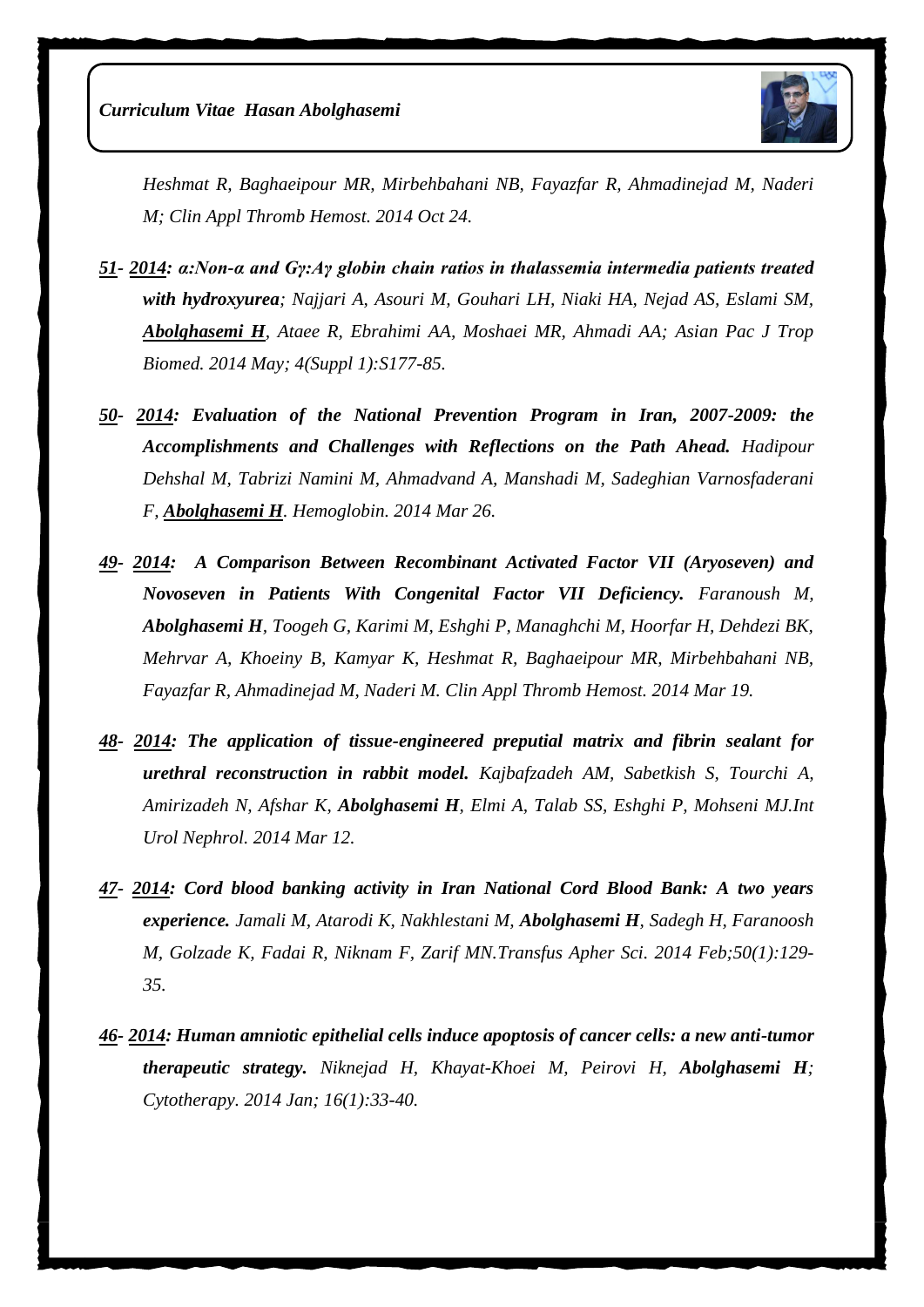

*Heshmat R, Baghaeipour MR, Mirbehbahani NB, Fayazfar R, Ahmadinejad M, Naderi M; Clin Appl Thromb Hemost. 2014 Oct 24.* 

- *51- 2014: [α:Non-α and Gγ:Aγ globin chain ratios in thalassemia intermedia patients treated](http://www.ncbi.nlm.nih.gov/pubmed/25183077)  [with hydroxyurea](http://www.ncbi.nlm.nih.gov/pubmed/25183077); Najjari A, Asouri M, Gouhari LH, Niaki HA, Nejad AS, Eslami SM, Abolghasemi H, Ataee R, Ebrahimi AA, Moshaei MR, Ahmadi AA; Asian Pac J Trop Biomed. 2014 May; 4(Suppl 1):S177-85.*
- *50- 2014: [Evaluation of the National Prevention Program in Iran, 2007-2009: the](http://www.ncbi.nlm.nih.gov/pubmed/24669933)  [Accomplishments and Challenges with Reflections on the Path Ahead.](http://www.ncbi.nlm.nih.gov/pubmed/24669933) Hadipour Dehshal M, Tabrizi Namini M, Ahmadvand A, Manshadi M, Sadeghian Varnosfaderani F, Abolghasemi H. Hemoglobin. 2014 Mar 26.*
- *49- 2014: [A Comparison Between Recombinant Activated Factor VII \(Aryoseven\) and](http://www.ncbi.nlm.nih.gov/pubmed/24651301)  [Novoseven in Patients With Congenital Factor VII Deficiency.](http://www.ncbi.nlm.nih.gov/pubmed/24651301) Faranoush M, Abolghasemi H, Toogeh G, Karimi M, Eshghi P, Managhchi M, Hoorfar H, Dehdezi BK, Mehrvar A, Khoeiny B, Kamyar K, Heshmat R, Baghaeipour MR, Mirbehbahani NB, Fayazfar R, Ahmadinejad M, Naderi M. Clin Appl Thromb Hemost. 2014 Mar 19.*
- *48- 2014: [The application of tissue-engineered preputial matrix and fibrin sealant for](http://www.ncbi.nlm.nih.gov/pubmed/24619583)  [urethral reconstruction in rabbit model.](http://www.ncbi.nlm.nih.gov/pubmed/24619583) Kajbafzadeh AM, Sabetkish S, Tourchi A, Amirizadeh N, Afshar K, Abolghasemi H, Elmi A, Talab SS, Eshghi P, Mohseni MJ.Int Urol Nephrol. 2014 Mar 12.*
- *47- 2014: [Cord blood banking activity in Iran National Cord Blood Bank: A two years](http://www.ncbi.nlm.nih.gov/pubmed/24262492)  [experience.](http://www.ncbi.nlm.nih.gov/pubmed/24262492) Jamali M, Atarodi K, Nakhlestani M, Abolghasemi H, Sadegh H, Faranoosh M, Golzade K, Fadai R, Niknam F, Zarif MN.Transfus Apher Sci. 2014 Feb;50(1):129- 35.*
- *46- 2014: [Human amniotic epithelial cells induce apoptosis of cancer cells: a new anti-tumor](http://www.ncbi.nlm.nih.gov/pubmed/24113429)  [therapeutic strategy.](http://www.ncbi.nlm.nih.gov/pubmed/24113429) Niknejad H, Khayat-Khoei M, Peirovi H, Abolghasemi H; Cytotherapy. 2014 Jan; 16(1):33-40.*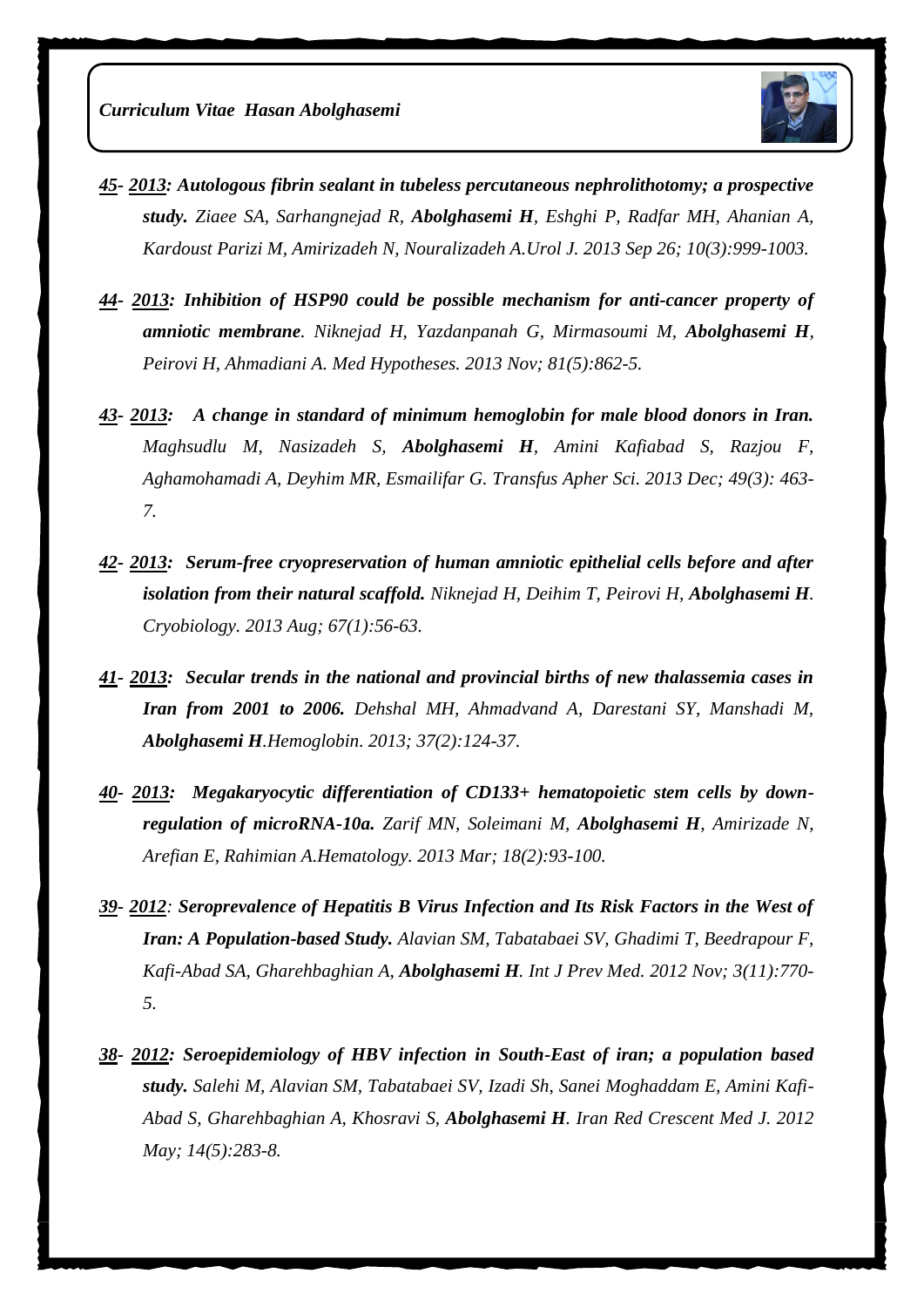

- *45- 2013: [Autologous fibrin sealant in tubeless percutaneous nephrolithotomy; a prospective](http://www.ncbi.nlm.nih.gov/pubmed/24078509)  [study.](http://www.ncbi.nlm.nih.gov/pubmed/24078509) Ziaee SA, Sarhangnejad R, Abolghasemi H, Eshghi P, Radfar MH, Ahanian A, Kardoust Parizi M, Amirizadeh N, Nouralizadeh A.Urol J. 2013 Sep 26; 10(3):999-1003.*
- *44- 2013: [Inhibition of HSP90 could be possible mechanism for anti-cancer property of](http://www.ncbi.nlm.nih.gov/pubmed/24054818)  [amniotic membrane](http://www.ncbi.nlm.nih.gov/pubmed/24054818). Niknejad H, Yazdanpanah G, Mirmasoumi M, Abolghasemi H, Peirovi H, Ahmadiani A. Med Hypotheses. 2013 Nov; 81(5):862-5.*
- *43- 2013: [A change in standard of minimum hemoglobin for male blood donors in Iran.](http://www.ncbi.nlm.nih.gov/pubmed/23768688) Maghsudlu M, Nasizadeh S, Abolghasemi H, Amini Kafiabad S, Razjou F, Aghamohamadi A, Deyhim MR, Esmailifar G. Transfus Apher Sci. 2013 Dec; 49(3): 463- 7.*
- *42- 2013: [Serum-free cryopreservation of human amniotic epithelial cells before and after](http://www.ncbi.nlm.nih.gov/pubmed/23685252)  [isolation from their natural scaffold.](http://www.ncbi.nlm.nih.gov/pubmed/23685252) Niknejad H, Deihim T, Peirovi H, Abolghasemi H. Cryobiology. 2013 Aug; 67(1):56-63.*
- *41- 2013: [Secular trends in the national and provincial births of new thalassemia cases in](http://www.ncbi.nlm.nih.gov/pubmed/23470148)  [Iran from 2001 to 2006.](http://www.ncbi.nlm.nih.gov/pubmed/23470148) Dehshal MH, Ahmadvand A, Darestani SY, Manshadi M, Abolghasemi H.Hemoglobin. 2013; 37(2):124-37.*
- *40- 2013: [Megakaryocytic differentiation of CD133+ hematopoietic stem cells by down](http://www.ncbi.nlm.nih.gov/pubmed/23321646)[regulation of microRNA-10a.](http://www.ncbi.nlm.nih.gov/pubmed/23321646) Zarif MN, Soleimani M, Abolghasemi H, Amirizade N, Arefian E, Rahimian A.Hematology. 2013 Mar; 18(2):93-100.*
- *39- 2012: [Seroprevalence of Hepatitis B Virus Infection and Its Risk Factors in the West of](http://www.ncbi.nlm.nih.gov/pubmed/23189228)  [Iran: A Population-based Study.](http://www.ncbi.nlm.nih.gov/pubmed/23189228) Alavian SM, Tabatabaei SV, Ghadimi T, Beedrapour F, Kafi-Abad SA, Gharehbaghian A, Abolghasemi H. Int J Prev Med. 2012 Nov; 3(11):770- 5.*
- *38- 2012: [Seroepidemiology of HBV infection in South-East of iran; a population based](http://www.ncbi.nlm.nih.gov/pubmed/22829987)  [study.](http://www.ncbi.nlm.nih.gov/pubmed/22829987) Salehi M, Alavian SM, Tabatabaei SV, Izadi Sh, Sanei Moghaddam E, Amini Kafi-Abad S, Gharehbaghian A, Khosravi S, Abolghasemi H. Iran Red Crescent Med J. 2012 May; 14(5):283-8.*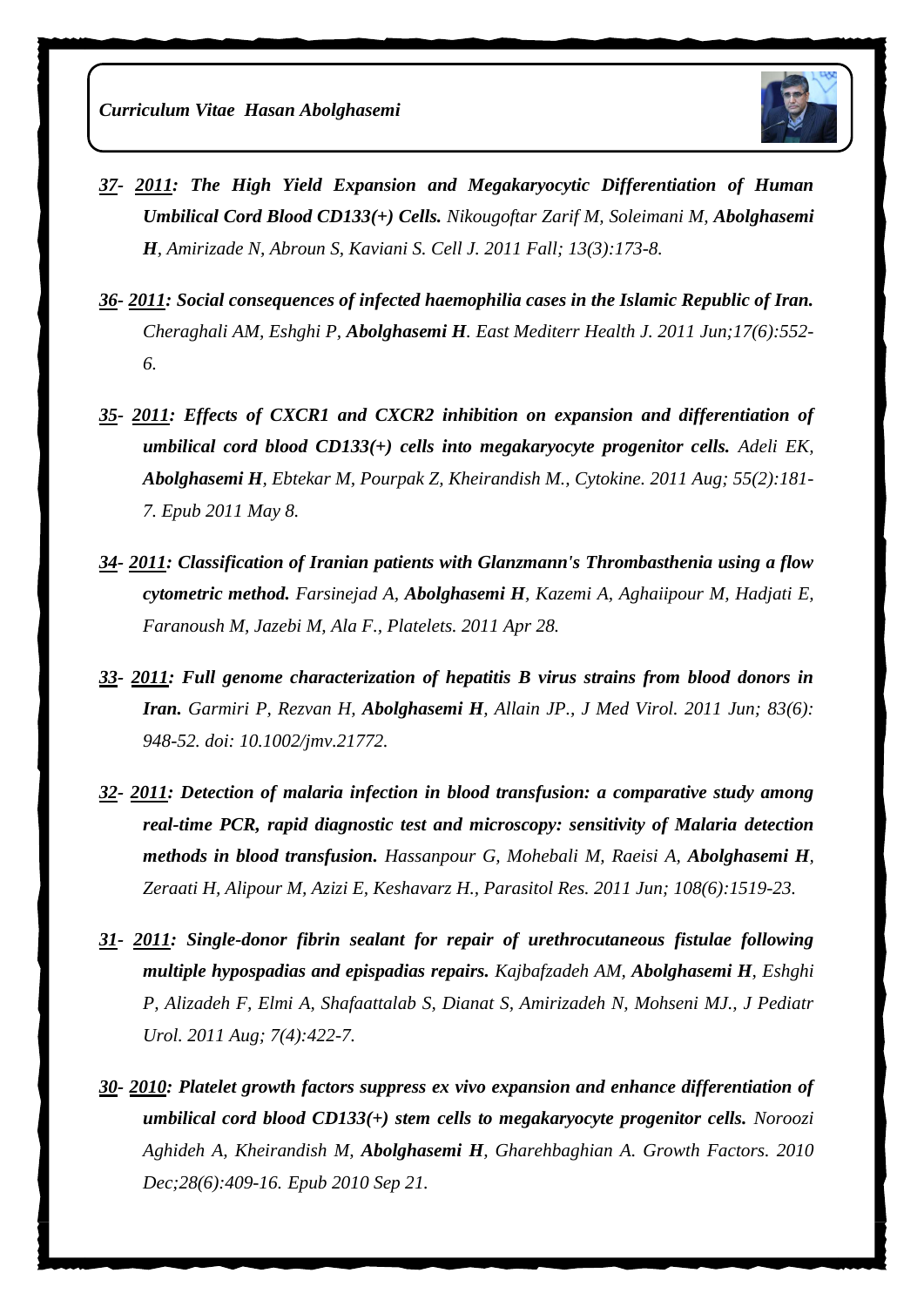*Curriculum Vitae Hasan Abolghasemi*



- *37- 2011: [The High Yield Expansion and Megakaryocytic Differentiation of Human](http://www.ncbi.nlm.nih.gov/pubmed/23508472)  [Umbilical Cord Blood CD133\(+\) Cells.](http://www.ncbi.nlm.nih.gov/pubmed/23508472) Nikougoftar Zarif M, Soleimani M, Abolghasemi H, Amirizade N, Abroun S, Kaviani S. Cell J. 2011 Fall; 13(3):173-8.*
- *36- 2011: [Social consequences of infected haemophilia cases in the Islamic Republic of Iran.](http://www.ncbi.nlm.nih.gov/pubmed/21796975) Cheraghali AM, Eshghi P, Abolghasemi H. East Mediterr Health J. 2011 Jun;17(6):552- 6.*
- *35- 2011: [Effects of CXCR1 and CXCR2 inhibition on expansion and differentiation of](http://www.ncbi.nlm.nih.gov/pubmed/21555225)  [umbilical cord blood CD133\(+\) cells into megakaryocyte progenitor cells.](http://www.ncbi.nlm.nih.gov/pubmed/21555225) Adeli EK, Abolghasemi H, Ebtekar M, Pourpak Z, Kheirandish M., Cytokine. 2011 Aug; 55(2):181- 7. Epub 2011 May 8.*
- *34- 2011: [Classification of Iranian patients with Glanzmann's Thrombasthenia using a flow](http://www.ncbi.nlm.nih.gov/pubmed/21526886)  [cytometric method.](http://www.ncbi.nlm.nih.gov/pubmed/21526886) Farsinejad A, Abolghasemi H, Kazemi A, Aghaiipour M, Hadjati E, Faranoush M, Jazebi M, Ala F., Platelets. 2011 Apr 28.*
- *33- 2011: [Full genome characterization of hepatitis B virus strains from blood donors in](http://www.ncbi.nlm.nih.gov/pubmed/21503905)  [Iran.](http://www.ncbi.nlm.nih.gov/pubmed/21503905) Garmiri P, Rezvan H, Abolghasemi H, Allain JP., J Med Virol. 2011 Jun; 83(6): 948-52. doi: 10.1002/jmv.21772.*
- *32- 2011: [Detection of malaria infection in blood transfusion: a comparative study among](http://www.ncbi.nlm.nih.gov/pubmed/21221645)  [real-time PCR, rapid diagnostic test and microscopy: sensitivity of Malaria detection](http://www.ncbi.nlm.nih.gov/pubmed/21221645)  [methods in blood transfusion.](http://www.ncbi.nlm.nih.gov/pubmed/21221645) Hassanpour G, Mohebali M, Raeisi A, Abolghasemi H, Zeraati H, Alipour M, Azizi E, Keshavarz H., Parasitol Res. 2011 Jun; 108(6):1519-23.*
- *31- 2011: [Single-donor fibrin sealant for repair of urethrocutaneous fistulae following](http://www.ncbi.nlm.nih.gov/pubmed/20634140)  [multiple hypospadias and epispadias repairs.](http://www.ncbi.nlm.nih.gov/pubmed/20634140) Kajbafzadeh AM, Abolghasemi H, Eshghi P, Alizadeh F, Elmi A, Shafaattalab S, Dianat S, Amirizadeh N, Mohseni MJ., J Pediatr Urol. 2011 Aug; 7(4):422-7.*
- *30- 2010: [Platelet growth factors suppress ex vivo expansion and enhance differentiation of](http://www.ncbi.nlm.nih.gov/pubmed/20854188)  [umbilical cord blood CD133\(+\) stem cells to megakaryocyte progenitor cells.](http://www.ncbi.nlm.nih.gov/pubmed/20854188) Noroozi Aghideh A, Kheirandish M, Abolghasemi H, Gharehbaghian A. Growth Factors. 2010 Dec;28(6):409-16. Epub 2010 Sep 21.*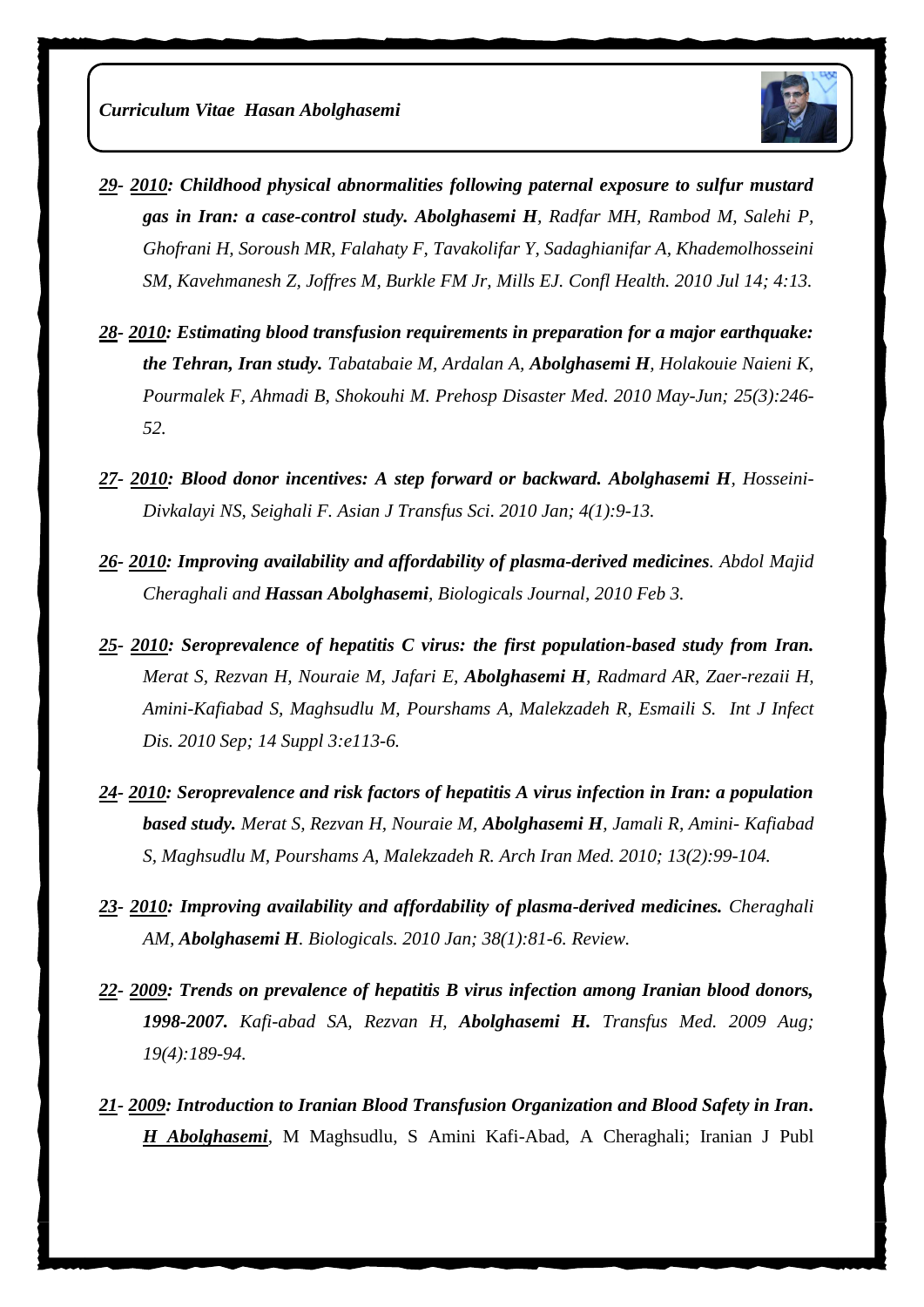

- *29- 2010: [Childhood physical abnormalities following paternal exposure to sulfur mustard](http://www.ncbi.nlm.nih.gov/pubmed/20630096)  gas in [Iran: a case-control study.](http://www.ncbi.nlm.nih.gov/pubmed/20630096) Abolghasemi H, Radfar MH, Rambod M, Salehi P, Ghofrani H, Soroush MR, Falahaty F, Tavakolifar Y, Sadaghianifar A, Khademolhosseini SM, Kavehmanesh Z, Joffres M, Burkle FM Jr, Mills EJ. Confl Health. 2010 Jul 14; 4:13.*
- *28- 2010: [Estimating blood transfusion requirements in preparation for a major earthquake:](http://www.ncbi.nlm.nih.gov/pubmed/20586006)  [the Tehran, Iran study.](http://www.ncbi.nlm.nih.gov/pubmed/20586006) Tabatabaie M, Ardalan A, Abolghasemi H, Holakouie Naieni K, Pourmalek F, Ahmadi B, Shokouhi M. Prehosp Disaster Med. 2010 May-Jun; 25(3):246- 52.*
- *27- 2010: [Blood donor incentives: A step forward or backward.](http://www.ncbi.nlm.nih.gov/pubmed/20376260) Abolghasemi H, Hosseini-Divkalayi NS, Seighali F. Asian J Transfus Sci. 2010 Jan; 4(1):9-13.*
- *26- 2010: Improving availability and affordability of plasma-derived medicines. Abdol Majid Cheraghali and Hassan Abolghasemi, Biologicals Journal, 2010 Feb 3.*
- *25- 2010: Seroprevalence of [hepatitis C virus: the first population-based study from Iran.](http://www.ncbi.nlm.nih.gov/pubmed/20362479) Merat S, Rezvan H, Nouraie M, Jafari E, Abolghasemi H, Radmard AR, Zaer-rezaii H, Amini-Kafiabad S, Maghsudlu M, Pourshams A, Malekzadeh R, Esmaili S. Int J Infect Dis. 2010 Sep; 14 Suppl 3:e113-6.*
- *24- 2010: [Seroprevalence and risk factors of hepatitis A virus infection in Iran: a population](http://www.ncbi.nlm.nih.gov/pubmed/20187662)  [based study.](http://www.ncbi.nlm.nih.gov/pubmed/20187662) Merat S, Rezvan H, Nouraie M, Abolghasemi H, Jamali R, Amini- Kafiabad S, Maghsudlu M, Pourshams A, Malekzadeh R. Arch Iran Med. 2010; 13(2):99-104.*
- *23- 2010: [Improving availability and affordability of plasma-derived medicines.](http://www.ncbi.nlm.nih.gov/pubmed/20137973) Cheraghali AM, Abolghasemi H. Biologicals. 2010 Jan; 38(1):81-6. Review.*
- *22- 2009: Trends on prevalence of hepatitis B virus infection among Iranian blood donors, 1998-2007. [Kafi-abad SA,](http://www.ncbi.nlm.nih.gov/pubmed?term=%22Kafi-abad%20SA%22%5BAuthor%5D&itool=EntrezSystem2.PEntrez.Pubmed.Pubmed_ResultsPanel.Pubmed_RVAbstract) [Rezvan H,](http://www.ncbi.nlm.nih.gov/pubmed?term=%22Rezvan%20H%22%5BAuthor%5D&itool=EntrezSystem2.PEntrez.Pubmed.Pubmed_ResultsPanel.Pubmed_RVAbstract) [Abolghasemi H.](http://www.ncbi.nlm.nih.gov/pubmed?term=%22Abolghasemi%20H%22%5BAuthor%5D&itool=EntrezSystem2.PEntrez.Pubmed.Pubmed_ResultsPanel.Pubmed_RVAbstract) Transfus Med. 2009 Aug; 19(4):189-94.*
- *21- 2009: Introduction to Iranian Blood Transfusion Organization and Blood Safety in Iran. H Abolghasemi,* M Maghsudlu, S Amini Kafi-Abad, A Cheraghali; Iranian J Publ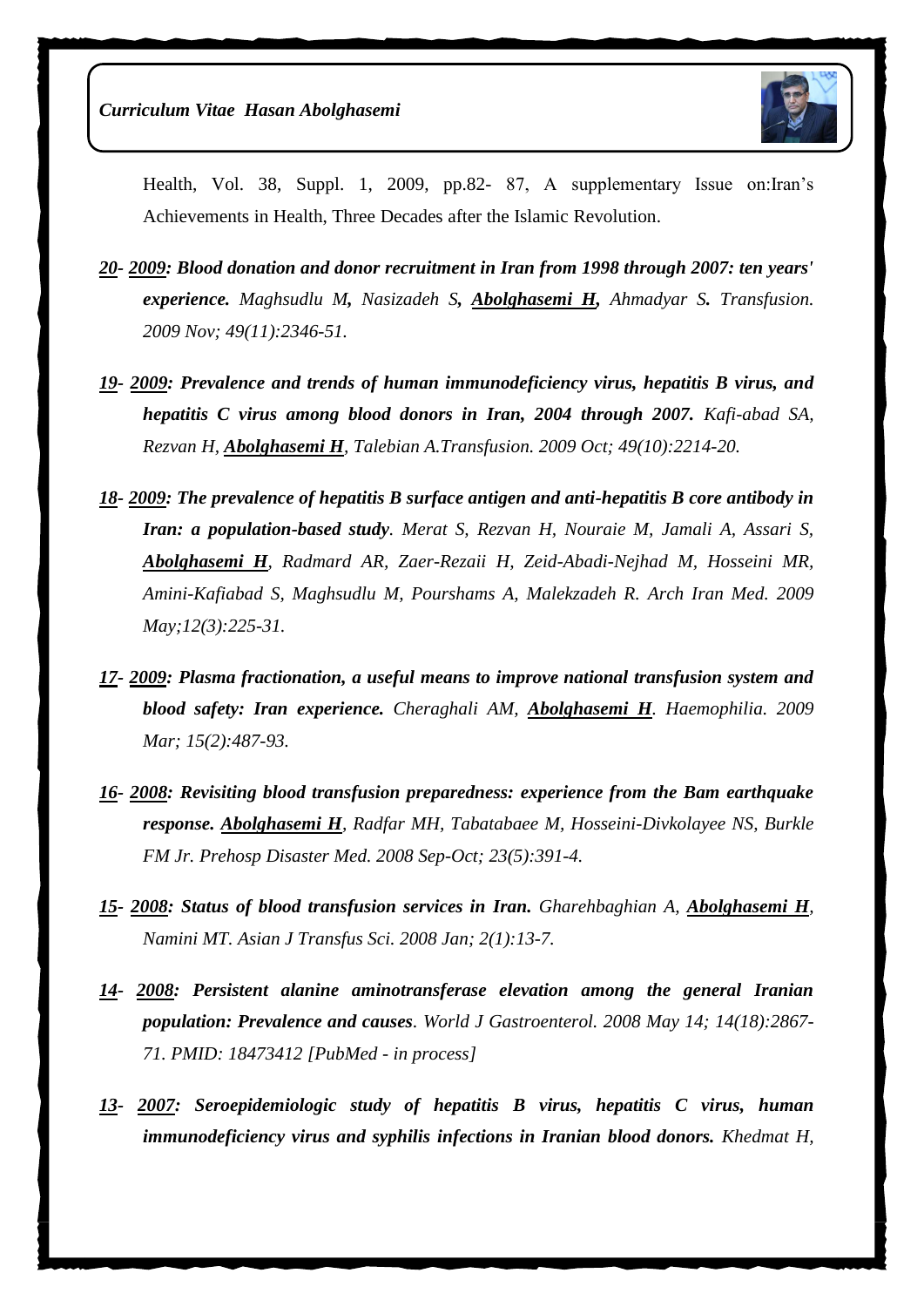

Health, Vol. 38, Suppl. 1, 2009, pp.82- 87, A supplementary Issue on:Iran's Achievements in Health, Three Decades after the Islamic Revolution.

- *20- 2009: Blood donation and donor recruitment in Iran from 1998 through 2007: ten years' experience. [Maghsudlu M](http://www.ncbi.nlm.nih.gov/pubmed?term=%22Maghsudlu%20M%22%5BAuthor%5D&itool=EntrezSystem2.PEntrez.Pubmed.Pubmed_ResultsPanel.Pubmed_RVAbstract), [Nasizadeh S](http://www.ncbi.nlm.nih.gov/pubmed?term=%22Nasizadeh%20S%22%5BAuthor%5D&itool=EntrezSystem2.PEntrez.Pubmed.Pubmed_ResultsPanel.Pubmed_RVAbstract), [Abolghasemi H,](http://www.ncbi.nlm.nih.gov/pubmed?term=%22Abolghasemi%20H%22%5BAuthor%5D&itool=EntrezSystem2.PEntrez.Pubmed.Pubmed_ResultsPanel.Pubmed_RVAbstract) [Ahmadyar S](http://www.ncbi.nlm.nih.gov/pubmed?term=%22Ahmadyar%20S%22%5BAuthor%5D&itool=EntrezSystem2.PEntrez.Pubmed.Pubmed_ResultsPanel.Pubmed_RVAbstract). Transfusion. 2009 Nov; 49(11):2346-51.*
- *19- 2009: [Prevalence and trends of human immunodeficiency virus, hepatitis B virus, and](http://www.ncbi.nlm.nih.gov/pubmed/19527477?itool=EntrezSystem2.PEntrez.Pubmed.Pubmed_ResultsPanel.Pubmed_RVDocSum&ordinalpos=4)  [hepatitis C virus among blood donors in Iran, 2004 through 2007.](http://www.ncbi.nlm.nih.gov/pubmed/19527477?itool=EntrezSystem2.PEntrez.Pubmed.Pubmed_ResultsPanel.Pubmed_RVDocSum&ordinalpos=4) Kafi-abad SA, Rezvan H, Abolghasemi H, Talebian A.Transfusion. 2009 Oct; 49(10):2214-20.*
- *18- 2009: [The prevalence of hepatitis B surface antigen and anti-hepatitis B core antibody in](http://www.ncbi.nlm.nih.gov/pubmed/19400598?itool=EntrezSystem2.PEntrez.Pubmed.Pubmed_ResultsPanel.Pubmed_RVDocSum&ordinalpos=5)  [Iran: a population-based study](http://www.ncbi.nlm.nih.gov/pubmed/19400598?itool=EntrezSystem2.PEntrez.Pubmed.Pubmed_ResultsPanel.Pubmed_RVDocSum&ordinalpos=5). Merat S, Rezvan H, Nouraie M, Jamali A, Assari S, Abolghasemi H, Radmard AR, Zaer-Rezaii H, Zeid-Abadi-Nejhad M, Hosseini MR, Amini-Kafiabad S, Maghsudlu M, Pourshams A, Malekzadeh R. Arch Iran Med. 2009 May;12(3):225-31.*
- *17- 2009: [Plasma fractionation, a useful means to improve national transfusion system and](http://www.ncbi.nlm.nih.gov/pubmed/19347989?itool=EntrezSystem2.PEntrez.Pubmed.Pubmed_ResultsPanel.Pubmed_RVDocSum&ordinalpos=6)  [blood safety: Iran experience.](http://www.ncbi.nlm.nih.gov/pubmed/19347989?itool=EntrezSystem2.PEntrez.Pubmed.Pubmed_ResultsPanel.Pubmed_RVDocSum&ordinalpos=6) Cheraghali AM, Abolghasemi H. Haemophilia. 2009 Mar; 15(2):487-93.*
- *16- 2008: [Revisiting blood transfusion preparedness: experience from the Bam earthquake](http://www.ncbi.nlm.nih.gov/pubmed/19189607?itool=EntrezSystem2.PEntrez.Pubmed.Pubmed_ResultsPanel.Pubmed_RVDocSum&ordinalpos=7)  [response.](http://www.ncbi.nlm.nih.gov/pubmed/19189607?itool=EntrezSystem2.PEntrez.Pubmed.Pubmed_ResultsPanel.Pubmed_RVDocSum&ordinalpos=7) Abolghasemi H, Radfar MH, Tabatabaee M, Hosseini-Divkolayee NS, Burkle FM Jr. Prehosp Disaster Med. 2008 Sep-Oct; 23(5):391-4.*
- *15- 2008: [Status of blood transfusion services in](http://www.ncbi.nlm.nih.gov/pubmed/20041072?itool=EntrezSystem2.PEntrez.Pubmed.Pubmed_ResultsPanel.Pubmed_RVDocSum&ordinalpos=10) Iran. Gharehbaghian A, Abolghasemi H, Namini MT. Asian J Transfus Sci. 2008 Jan; 2(1):13-7.*
- *14- 2008: Persistent alanine aminotransferase elevation among the general Iranian population: Prevalence and causes. World J Gastroenterol. 2008 May 14; 14(18):2867- 71. PMID: 18473412 [PubMed - in process]*
- *13- 2007: [Seroepidemiologic study of hepatitis B virus, hepatitis C virus, human](http://www.ncbi.nlm.nih.gov/pubmed/19093512?itool=EntrezSystem2.PEntrez.Pubmed.Pubmed_ResultsPanel.Pubmed_RVDocSum&ordinalpos=8)  [immunodeficiency virus and syphilis infections in Iranian blood donors.](http://www.ncbi.nlm.nih.gov/pubmed/19093512?itool=EntrezSystem2.PEntrez.Pubmed.Pubmed_ResultsPanel.Pubmed_RVDocSum&ordinalpos=8) Khedmat H,*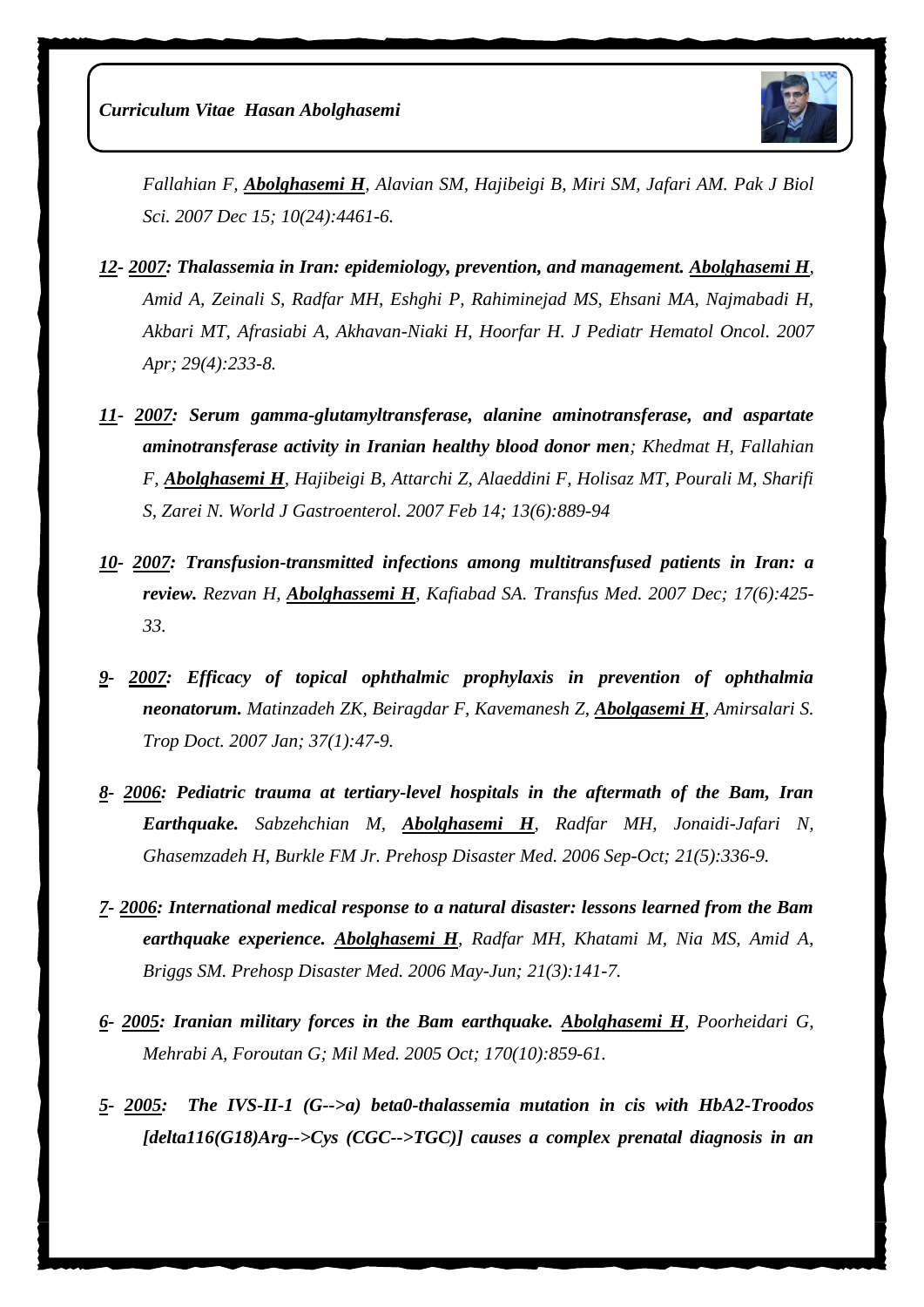*Curriculum Vitae Hasan Abolghasemi*



*Fallahian F, Abolghasemi H, Alavian SM, Hajibeigi B, Miri SM, Jafari AM. Pak J Biol Sci. 2007 Dec 15; 10(24):4461-6.*

- *12- 2007: Thalassemia in Iran: epidemiology, prevention, and management. Abolghasemi H, Amid A, Zeinali S, Radfar MH, Eshghi P, Rahiminejad MS, Ehsani MA, Najmabadi H, Akbari MT, Afrasiabi A, Akhavan-Niaki H, Hoorfar H. J Pediatr Hematol Oncol. 2007 Apr; 29(4):233-8.*
- *11- 2007: Serum gamma-glutamyltransferase, alanine aminotransferase, and aspartate aminotransferase activity in Iranian healthy blood donor men; Khedmat H, Fallahian F, Abolghasemi H, Hajibeigi B, Attarchi Z, Alaeddini F, Holisaz MT, Pourali M, Sharifi S, Zarei N. World J Gastroenterol. 2007 Feb 14; 13(6):889-94*
- *10- 2007: Transfusion-transmitted infections among multitransfused patients in Iran: a review. [Rezvan H,](http://www.ncbi.nlm.nih.gov/pubmed?term=Rezvan%20H%5BAuthor%5D&cauthor=true&cauthor_uid=18067646) [Abolghassemi H](http://www.ncbi.nlm.nih.gov/pubmed?term=Abolghassemi%20H%5BAuthor%5D&cauthor=true&cauthor_uid=18067646), [Kafiabad SA.](http://www.ncbi.nlm.nih.gov/pubmed?term=Kafiabad%20SA%5BAuthor%5D&cauthor=true&cauthor_uid=18067646) [Transfus Med.](http://www.ncbi.nlm.nih.gov/pubmed/?term=Transfusion-transmitted+infections+among+multitransfused+patients+in+Iran%3A+a+review) 2007 Dec; 17(6):425- 33.*
- *9- 2007: [Efficacy of topical ophthalmic prophylaxis in prevention of ophthalmia](http://www.ncbi.nlm.nih.gov/pubmed/17326893)  [neonatorum.](http://www.ncbi.nlm.nih.gov/pubmed/17326893) Matinzadeh ZK, Beiragdar F, Kavemanesh Z, Abolgasemi H, Amirsalari S. Trop Doct. 2007 Jan; 37(1):47-9.*
- *8- 2006: [Pediatric trauma at tertiary-level hospitals in the aftermath of the Bam, Iran](http://www.ncbi.nlm.nih.gov/pubmed/17297904)  [Earthquake.](http://www.ncbi.nlm.nih.gov/pubmed/17297904) Sabzehchian M, Abolghasemi H, Radfar MH, Jonaidi-Jafari N, Ghasemzadeh H, Burkle FM Jr. Prehosp Disaster Med. 2006 Sep-Oct; 21(5):336-9.*
- *7- 2006: [International medical response to a natural disaster: lessons learned from the Bam](http://www.ncbi.nlm.nih.gov/pubmed/16892878)  [earthquake experience.](http://www.ncbi.nlm.nih.gov/pubmed/16892878) Abolghasemi H, Radfar MH, Khatami M, Nia MS, Amid A, Briggs SM. Prehosp Disaster Med. 2006 May-Jun; 21(3):141-7.*
- *6- 2005: [Iranian military forces in the Bam earthquake.](http://www.ncbi.nlm.nih.gov/pubmed/16435759) Abolghasemi H, Poorheidari G, Mehrabi A, Foroutan G; Mil Med. 2005 Oct; 170(10):859-61.*
- *5- 2005: [The IVS-II-1 \(G-->a\) beta0-thalassemia mutation in cis with HbA2-Troodos](http://www.ncbi.nlm.nih.gov/pubmed/16370491)  [\[delta116\(G18\)Arg-->Cys \(CGC-->TGC\)\] causes a complex prenatal diagnosis in an](http://www.ncbi.nlm.nih.gov/pubmed/16370491)*